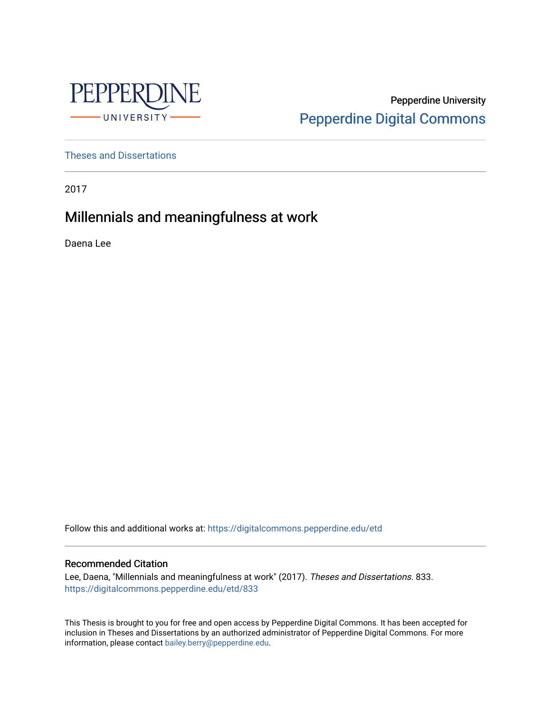

Pepperdine University [Pepperdine Digital Commons](https://digitalcommons.pepperdine.edu/) 

[Theses and Dissertations](https://digitalcommons.pepperdine.edu/etd)

2017

# Millennials and meaningfulness at work

Daena Lee

Follow this and additional works at: [https://digitalcommons.pepperdine.edu/etd](https://digitalcommons.pepperdine.edu/etd?utm_source=digitalcommons.pepperdine.edu%2Fetd%2F833&utm_medium=PDF&utm_campaign=PDFCoverPages) 

### Recommended Citation

Lee, Daena, "Millennials and meaningfulness at work" (2017). Theses and Dissertations. 833. [https://digitalcommons.pepperdine.edu/etd/833](https://digitalcommons.pepperdine.edu/etd/833?utm_source=digitalcommons.pepperdine.edu%2Fetd%2F833&utm_medium=PDF&utm_campaign=PDFCoverPages) 

This Thesis is brought to you for free and open access by Pepperdine Digital Commons. It has been accepted for inclusion in Theses and Dissertations by an authorized administrator of Pepperdine Digital Commons. For more information, please contact [bailey.berry@pepperdine.edu.](mailto:bailey.berry@pepperdine.edu)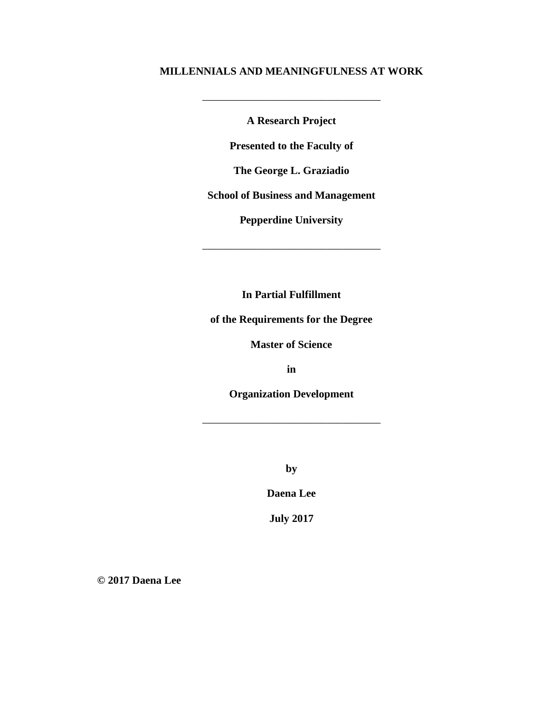### **MILLENNIALS AND MEANINGFULNESS AT WORK**

**A Research Project**

\_\_\_\_\_\_\_\_\_\_\_\_\_\_\_\_\_\_\_\_\_\_\_\_\_\_\_\_\_\_\_\_\_

**Presented to the Faculty of**

**The George L. Graziadio**

**School of Business and Management**

**Pepperdine University**

\_\_\_\_\_\_\_\_\_\_\_\_\_\_\_\_\_\_\_\_\_\_\_\_\_\_\_\_\_\_\_\_\_

**In Partial Fulfillment**

**of the Requirements for the Degree**

**Master of Science**

**in**

**Organization Development**

\_\_\_\_\_\_\_\_\_\_\_\_\_\_\_\_\_\_\_\_\_\_\_\_\_\_\_\_\_\_\_\_\_

**by**

**Daena Lee**

**July 2017**

**© 2017 Daena Lee**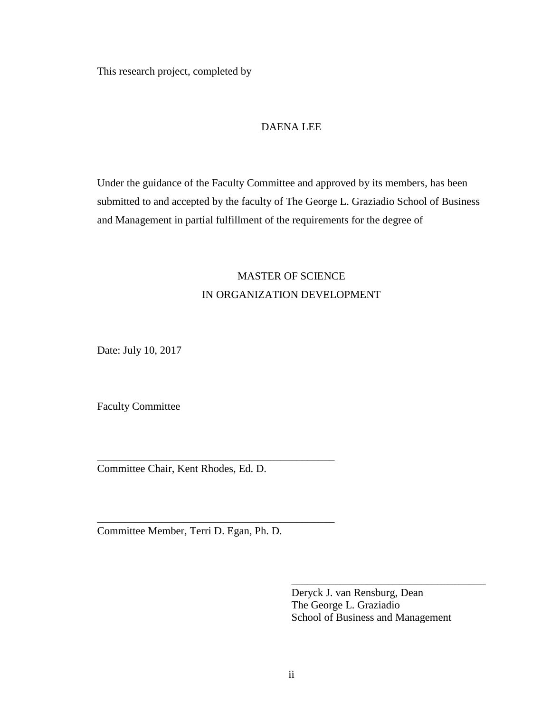This research project, completed by

### DAENA LEE

Under the guidance of the Faculty Committee and approved by its members, has been submitted to and accepted by the faculty of The George L. Graziadio School of Business and Management in partial fulfillment of the requirements for the degree of

# MASTER OF SCIENCE IN ORGANIZATION DEVELOPMENT

Date: July 10, 2017

Faculty Committee

Committee Chair, Kent Rhodes, Ed. D.

\_\_\_\_\_\_\_\_\_\_\_\_\_\_\_\_\_\_\_\_\_\_\_\_\_\_\_\_\_\_\_\_\_\_\_\_\_\_\_\_\_\_\_\_

\_\_\_\_\_\_\_\_\_\_\_\_\_\_\_\_\_\_\_\_\_\_\_\_\_\_\_\_\_\_\_\_\_\_\_\_\_\_\_\_\_\_\_\_

Committee Member, Terri D. Egan, Ph. D.

Deryck J. van Rensburg, Dean The George L. Graziadio School of Business and Management

\_\_\_\_\_\_\_\_\_\_\_\_\_\_\_\_\_\_\_\_\_\_\_\_\_\_\_\_\_\_\_\_\_\_\_\_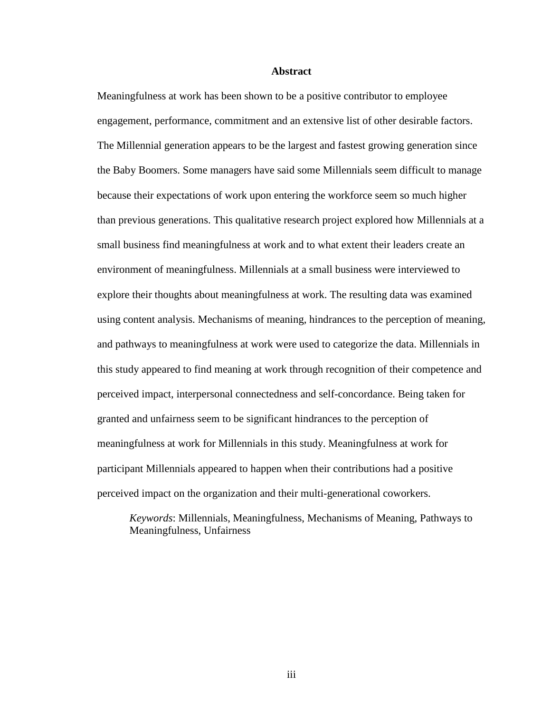#### **Abstract**

<span id="page-3-0"></span>Meaningfulness at work has been shown to be a positive contributor to employee engagement, performance, commitment and an extensive list of other desirable factors. The Millennial generation appears to be the largest and fastest growing generation since the Baby Boomers. Some managers have said some Millennials seem difficult to manage because their expectations of work upon entering the workforce seem so much higher than previous generations. This qualitative research project explored how Millennials at a small business find meaningfulness at work and to what extent their leaders create an environment of meaningfulness. Millennials at a small business were interviewed to explore their thoughts about meaningfulness at work. The resulting data was examined using content analysis. Mechanisms of meaning, hindrances to the perception of meaning, and pathways to meaningfulness at work were used to categorize the data. Millennials in this study appeared to find meaning at work through recognition of their competence and perceived impact, interpersonal connectedness and self-concordance. Being taken for granted and unfairness seem to be significant hindrances to the perception of meaningfulness at work for Millennials in this study. Meaningfulness at work for participant Millennials appeared to happen when their contributions had a positive perceived impact on the organization and their multi-generational coworkers.

*Keywords*: Millennials, Meaningfulness, Mechanisms of Meaning, Pathways to Meaningfulness, Unfairness

iii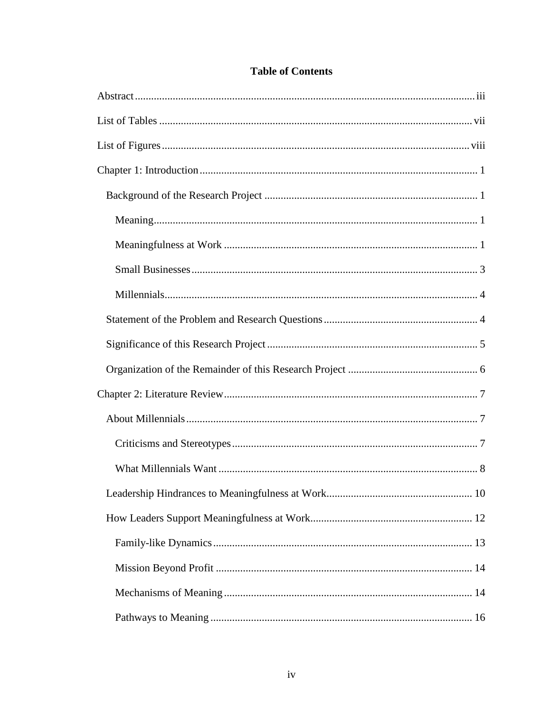## **Table of Contents**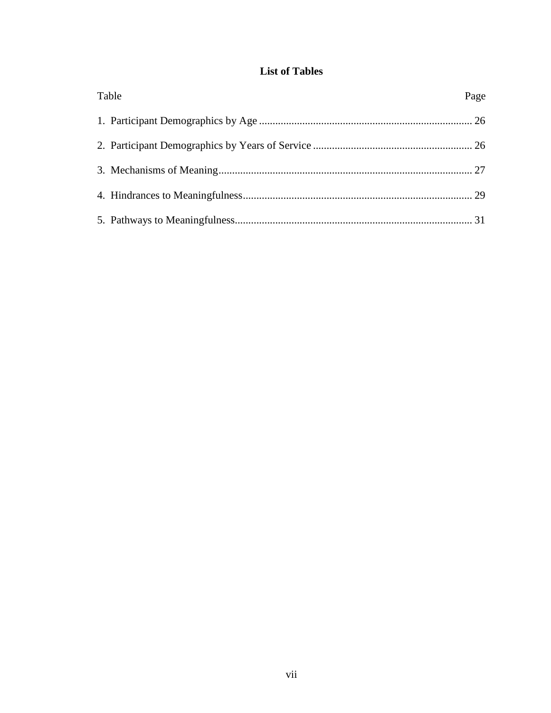## **List of Tables**

<span id="page-7-0"></span>

| Table | Page |
|-------|------|
|       |      |
|       |      |
|       |      |
|       |      |
|       |      |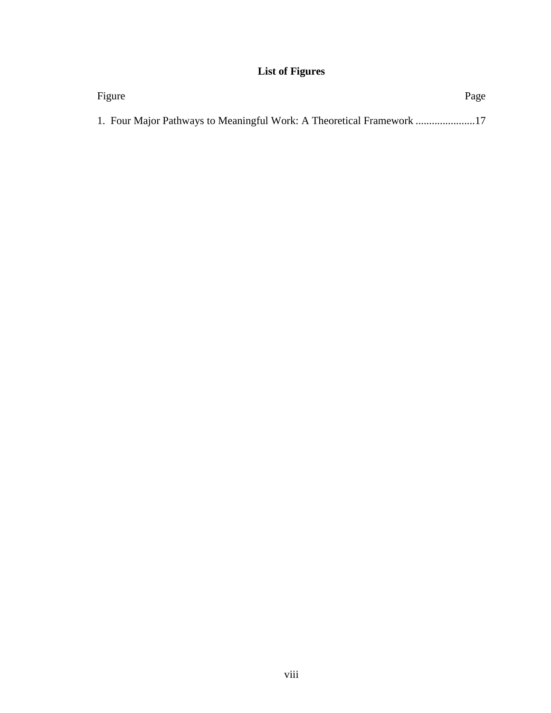# **List of Figures**

<span id="page-8-0"></span>

| Figure                                                             | Page |
|--------------------------------------------------------------------|------|
| 1. Four Major Pathways to Meaningful Work: A Theoretical Framework |      |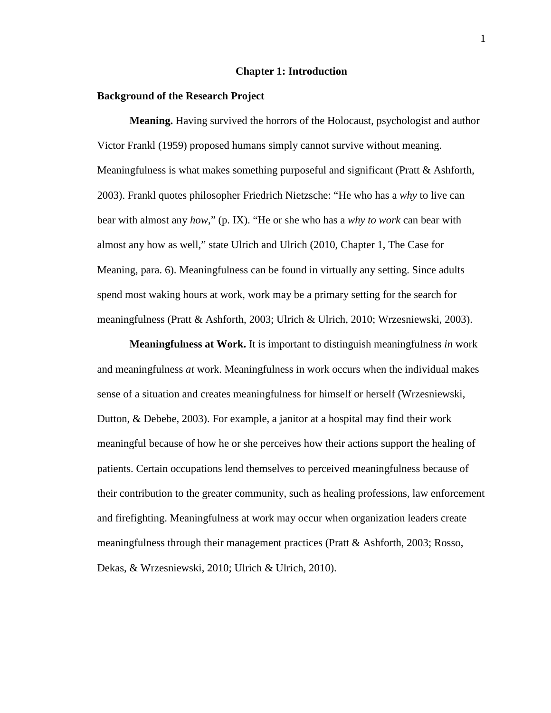#### **Chapter 1: Introduction**

#### <span id="page-9-1"></span><span id="page-9-0"></span>**Background of the Research Project**

<span id="page-9-2"></span>**Meaning.** Having survived the horrors of the Holocaust, psychologist and author Victor Frankl (1959) proposed humans simply cannot survive without meaning. Meaningfulness is what makes something purposeful and significant (Pratt & Ashforth, 2003). Frankl quotes philosopher Friedrich Nietzsche: "He who has a *why* to live can bear with almost any *how*," (p. IX). "He or she who has a *why to work* can bear with almost any how as well," state Ulrich and Ulrich (2010, Chapter 1, The Case for Meaning, para. 6). Meaningfulness can be found in virtually any setting. Since adults spend most waking hours at work, work may be a primary setting for the search for meaningfulness (Pratt & Ashforth, 2003; Ulrich & Ulrich, 2010; Wrzesniewski, 2003).

<span id="page-9-3"></span>**Meaningfulness at Work.** It is important to distinguish meaningfulness *in* work and meaningfulness *at* work. Meaningfulness in work occurs when the individual makes sense of a situation and creates meaningfulness for himself or herself (Wrzesniewski, Dutton, & Debebe, 2003). For example, a janitor at a hospital may find their work meaningful because of how he or she perceives how their actions support the healing of patients. Certain occupations lend themselves to perceived meaningfulness because of their contribution to the greater community, such as healing professions, law enforcement and firefighting. Meaningfulness at work may occur when organization leaders create meaningfulness through their management practices (Pratt & Ashforth, 2003; Rosso, Dekas, & Wrzesniewski, 2010; Ulrich & Ulrich, 2010).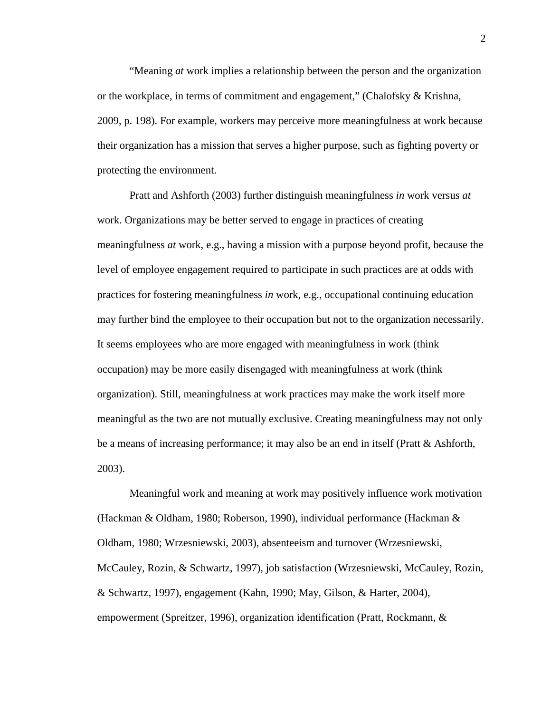"Meaning *at* work implies a relationship between the person and the organization or the workplace, in terms of commitment and engagement," (Chalofsky & Krishna, 2009, p. 198). For example, workers may perceive more meaningfulness at work because their organization has a mission that serves a higher purpose, such as fighting poverty or protecting the environment.

Pratt and Ashforth (2003) further distinguish meaningfulness *in* work versus *at* work. Organizations may be better served to engage in practices of creating meaningfulness *at* work, e.g., having a mission with a purpose beyond profit, because the level of employee engagement required to participate in such practices are at odds with practices for fostering meaningfulness *in* work, e.g., occupational continuing education may further bind the employee to their occupation but not to the organization necessarily. It seems employees who are more engaged with meaningfulness in work (think occupation) may be more easily disengaged with meaningfulness at work (think organization). Still, meaningfulness at work practices may make the work itself more meaningful as the two are not mutually exclusive. Creating meaningfulness may not only be a means of increasing performance; it may also be an end in itself (Pratt & Ashforth, 2003).

Meaningful work and meaning at work may positively influence work motivation (Hackman & Oldham, 1980; Roberson, 1990), individual performance (Hackman & Oldham, 1980; Wrzesniewski, 2003), absenteeism and turnover (Wrzesniewski, McCauley, Rozin, & Schwartz, 1997), job satisfaction (Wrzesniewski, McCauley, Rozin, & Schwartz, 1997), engagement (Kahn, 1990; May, Gilson, & Harter, 2004), empowerment (Spreitzer, 1996), organization identification (Pratt, Rockmann, &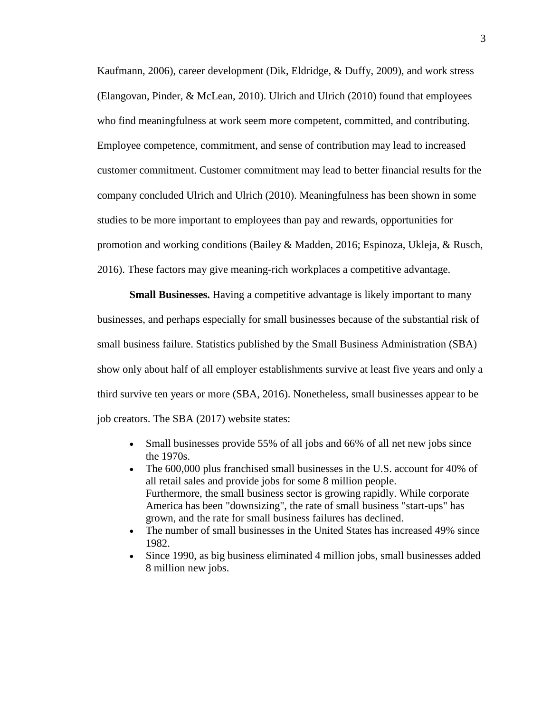Kaufmann, 2006), career development (Dik, Eldridge, & Duffy, 2009), and work stress (Elangovan, Pinder, & McLean, 2010). Ulrich and Ulrich (2010) found that employees who find meaningfulness at work seem more competent, committed, and contributing. Employee competence, commitment, and sense of contribution may lead to increased customer commitment. Customer commitment may lead to better financial results for the company concluded Ulrich and Ulrich (2010). Meaningfulness has been shown in some studies to be more important to employees than pay and rewards, opportunities for promotion and working conditions (Bailey & Madden, 2016; Espinoza, Ukleja, & Rusch, 2016). These factors may give meaning-rich workplaces a competitive advantage.

<span id="page-11-0"></span>**Small Businesses.** Having a competitive advantage is likely important to many businesses, and perhaps especially for small businesses because of the substantial risk of small business failure. Statistics published by the Small Business Administration (SBA) show only about half of all employer establishments survive at least five years and only a third survive ten years or more (SBA, 2016). Nonetheless, small businesses appear to be job creators. The SBA (2017) website states:

- Small businesses provide 55% of all jobs and 66% of all net new jobs since the 1970s.
- The 600,000 plus franchised small businesses in the U.S. account for 40% of all retail sales and provide jobs for some 8 million people. Furthermore, the small business sector is growing rapidly. While corporate America has been "downsizing", the rate of small business "start-ups" has grown, and the rate for small business failures has declined.
- The number of small businesses in the United States has increased 49% since 1982.
- Since 1990, as big business eliminated 4 million jobs, small businesses added 8 million new jobs.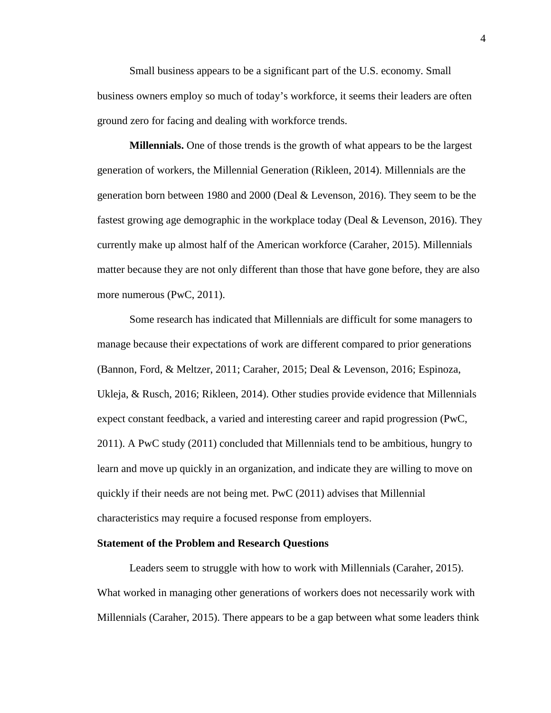Small business appears to be a significant part of the U.S. economy. Small business owners employ so much of today's workforce, it seems their leaders are often ground zero for facing and dealing with workforce trends.

<span id="page-12-0"></span>**Millennials.** One of those trends is the growth of what appears to be the largest generation of workers, the Millennial Generation (Rikleen, 2014). Millennials are the generation born between 1980 and 2000 (Deal & Levenson, 2016). They seem to be the fastest growing age demographic in the workplace today (Deal & Levenson, 2016). They currently make up almost half of the American workforce (Caraher, 2015). Millennials matter because they are not only different than those that have gone before, they are also more numerous (PwC, 2011).

Some research has indicated that Millennials are difficult for some managers to manage because their expectations of work are different compared to prior generations (Bannon, Ford, & Meltzer, 2011; Caraher, 2015; Deal & Levenson, 2016; Espinoza, Ukleja, & Rusch, 2016; Rikleen, 2014). Other studies provide evidence that Millennials expect constant feedback, a varied and interesting career and rapid progression (PwC, 2011). A PwC study (2011) concluded that Millennials tend to be ambitious, hungry to learn and move up quickly in an organization, and indicate they are willing to move on quickly if their needs are not being met. PwC (2011) advises that Millennial characteristics may require a focused response from employers.

#### <span id="page-12-1"></span>**Statement of the Problem and Research Questions**

Leaders seem to struggle with how to work with Millennials (Caraher, 2015). What worked in managing other generations of workers does not necessarily work with Millennials (Caraher, 2015). There appears to be a gap between what some leaders think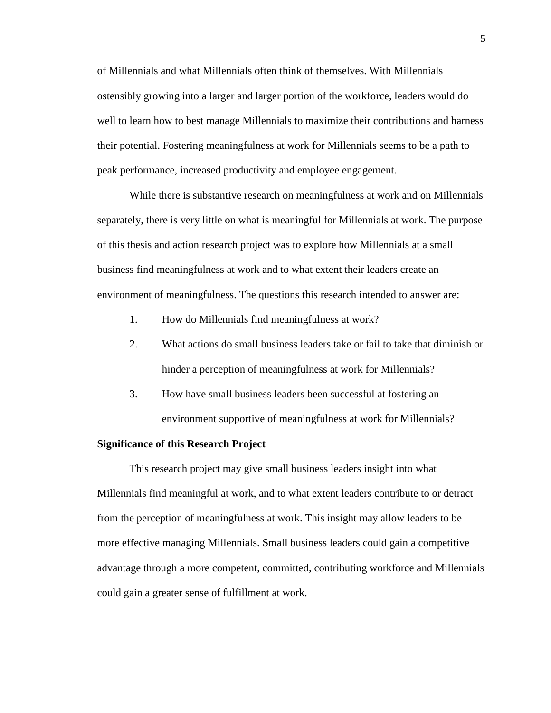of Millennials and what Millennials often think of themselves. With Millennials ostensibly growing into a larger and larger portion of the workforce, leaders would do well to learn how to best manage Millennials to maximize their contributions and harness their potential. Fostering meaningfulness at work for Millennials seems to be a path to peak performance, increased productivity and employee engagement.

While there is substantive research on meaningfulness at work and on Millennials separately, there is very little on what is meaningful for Millennials at work. The purpose of this thesis and action research project was to explore how Millennials at a small business find meaningfulness at work and to what extent their leaders create an environment of meaningfulness. The questions this research intended to answer are:

- 1. How do Millennials find meaningfulness at work?
- 2. What actions do small business leaders take or fail to take that diminish or hinder a perception of meaningfulness at work for Millennials?
- 3. How have small business leaders been successful at fostering an environment supportive of meaningfulness at work for Millennials?

#### <span id="page-13-0"></span>**Significance of this Research Project**

This research project may give small business leaders insight into what Millennials find meaningful at work, and to what extent leaders contribute to or detract from the perception of meaningfulness at work. This insight may allow leaders to be more effective managing Millennials. Small business leaders could gain a competitive advantage through a more competent, committed, contributing workforce and Millennials could gain a greater sense of fulfillment at work.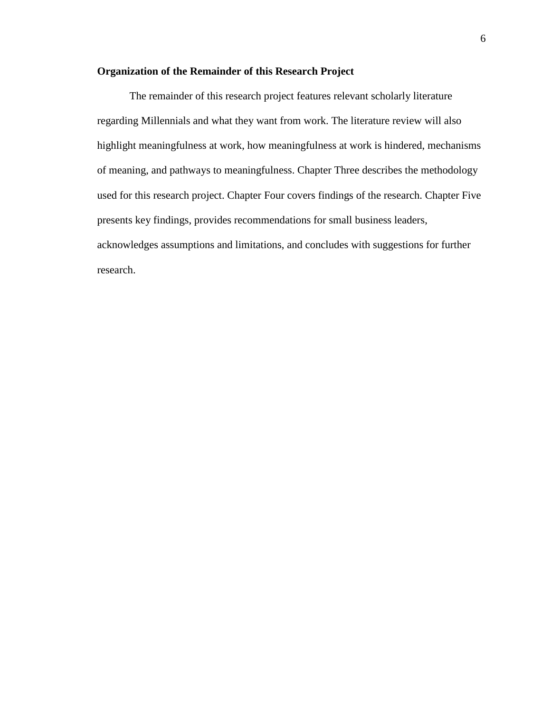### <span id="page-14-0"></span>**Organization of the Remainder of this Research Project**

The remainder of this research project features relevant scholarly literature regarding Millennials and what they want from work. The literature review will also highlight meaningfulness at work, how meaningfulness at work is hindered, mechanisms of meaning, and pathways to meaningfulness. Chapter Three describes the methodology used for this research project. Chapter Four covers findings of the research. Chapter Five presents key findings, provides recommendations for small business leaders, acknowledges assumptions and limitations, and concludes with suggestions for further research.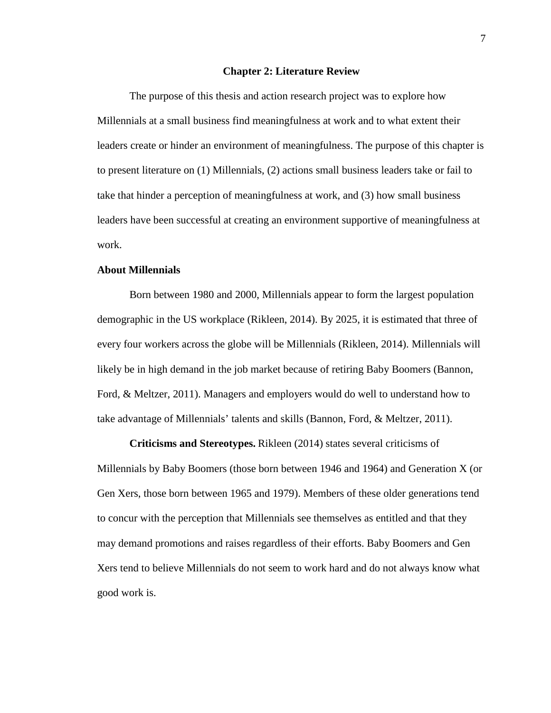#### **Chapter 2: Literature Review**

<span id="page-15-0"></span>The purpose of this thesis and action research project was to explore how Millennials at a small business find meaningfulness at work and to what extent their leaders create or hinder an environment of meaningfulness. The purpose of this chapter is to present literature on (1) Millennials, (2) actions small business leaders take or fail to take that hinder a perception of meaningfulness at work, and (3) how small business leaders have been successful at creating an environment supportive of meaningfulness at work.

### <span id="page-15-1"></span>**About Millennials**

Born between 1980 and 2000, Millennials appear to form the largest population demographic in the US workplace (Rikleen, 2014). By 2025, it is estimated that three of every four workers across the globe will be Millennials (Rikleen, 2014). Millennials will likely be in high demand in the job market because of retiring Baby Boomers (Bannon, Ford, & Meltzer, 2011). Managers and employers would do well to understand how to take advantage of Millennials' talents and skills (Bannon, Ford, & Meltzer, 2011).

<span id="page-15-2"></span>**Criticisms and Stereotypes.** Rikleen (2014) states several criticisms of Millennials by Baby Boomers (those born between 1946 and 1964) and Generation X (or Gen Xers, those born between 1965 and 1979). Members of these older generations tend to concur with the perception that Millennials see themselves as entitled and that they may demand promotions and raises regardless of their efforts. Baby Boomers and Gen Xers tend to believe Millennials do not seem to work hard and do not always know what good work is.

7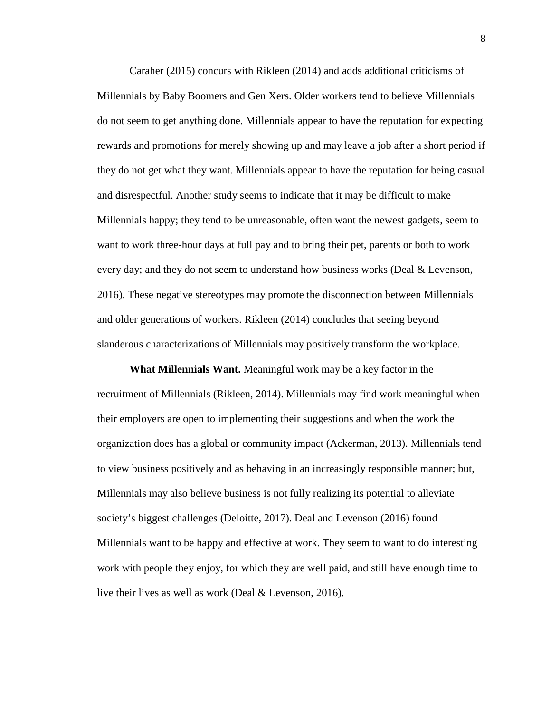Caraher (2015) concurs with Rikleen (2014) and adds additional criticisms of Millennials by Baby Boomers and Gen Xers. Older workers tend to believe Millennials do not seem to get anything done. Millennials appear to have the reputation for expecting rewards and promotions for merely showing up and may leave a job after a short period if they do not get what they want. Millennials appear to have the reputation for being casual and disrespectful. Another study seems to indicate that it may be difficult to make Millennials happy; they tend to be unreasonable, often want the newest gadgets, seem to want to work three-hour days at full pay and to bring their pet, parents or both to work every day; and they do not seem to understand how business works (Deal & Levenson, 2016). These negative stereotypes may promote the disconnection between Millennials and older generations of workers. Rikleen (2014) concludes that seeing beyond slanderous characterizations of Millennials may positively transform the workplace.

<span id="page-16-0"></span>**What Millennials Want.** Meaningful work may be a key factor in the recruitment of Millennials (Rikleen, 2014). Millennials may find work meaningful when their employers are open to implementing their suggestions and when the work the organization does has a global or community impact (Ackerman, 2013). Millennials tend to view business positively and as behaving in an increasingly responsible manner; but, Millennials may also believe business is not fully realizing its potential to alleviate society's biggest challenges (Deloitte, 2017). Deal and Levenson (2016) found Millennials want to be happy and effective at work. They seem to want to do interesting work with people they enjoy, for which they are well paid, and still have enough time to live their lives as well as work (Deal & Levenson, 2016).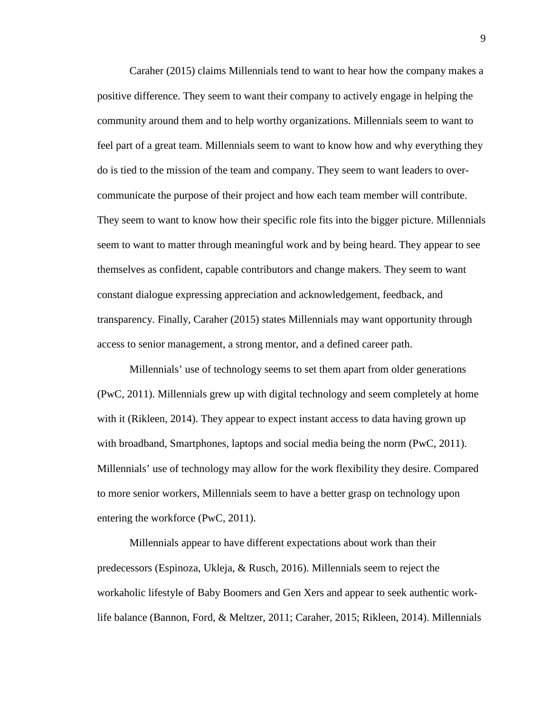Caraher (2015) claims Millennials tend to want to hear how the company makes a positive difference. They seem to want their company to actively engage in helping the community around them and to help worthy organizations. Millennials seem to want to feel part of a great team. Millennials seem to want to know how and why everything they do is tied to the mission of the team and company. They seem to want leaders to overcommunicate the purpose of their project and how each team member will contribute. They seem to want to know how their specific role fits into the bigger picture. Millennials seem to want to matter through meaningful work and by being heard. They appear to see themselves as confident, capable contributors and change makers. They seem to want constant dialogue expressing appreciation and acknowledgement, feedback, and transparency. Finally, Caraher (2015) states Millennials may want opportunity through access to senior management, a strong mentor, and a defined career path.

Millennials' use of technology seems to set them apart from older generations (PwC, 2011). Millennials grew up with digital technology and seem completely at home with it (Rikleen, 2014). They appear to expect instant access to data having grown up with broadband, Smartphones, laptops and social media being the norm (PwC, 2011). Millennials' use of technology may allow for the work flexibility they desire. Compared to more senior workers, Millennials seem to have a better grasp on technology upon entering the workforce (PwC, 2011).

Millennials appear to have different expectations about work than their predecessors (Espinoza, Ukleja, & Rusch, 2016). Millennials seem to reject the workaholic lifestyle of Baby Boomers and Gen Xers and appear to seek authentic worklife balance (Bannon, Ford, & Meltzer, 2011; Caraher, 2015; Rikleen, 2014). Millennials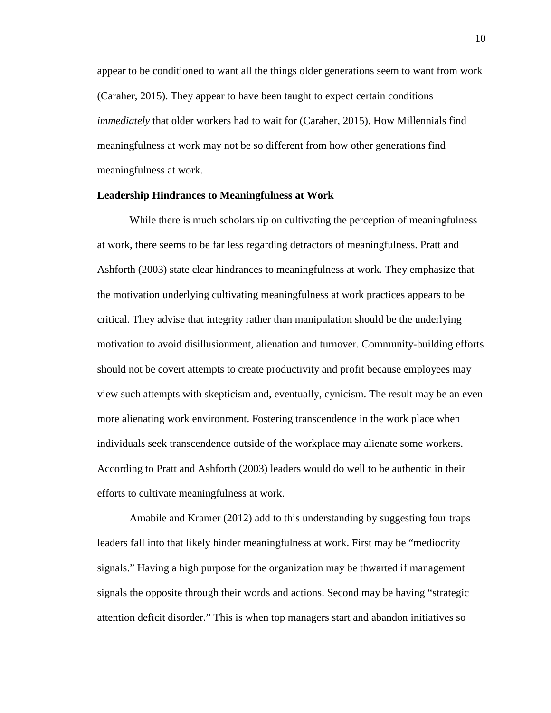appear to be conditioned to want all the things older generations seem to want from work (Caraher, 2015). They appear to have been taught to expect certain conditions *immediately* that older workers had to wait for (Caraher, 2015). How Millennials find meaningfulness at work may not be so different from how other generations find meaningfulness at work.

### <span id="page-18-0"></span>**Leadership Hindrances to Meaningfulness at Work**

While there is much scholarship on cultivating the perception of meaningfulness at work, there seems to be far less regarding detractors of meaningfulness. Pratt and Ashforth (2003) state clear hindrances to meaningfulness at work. They emphasize that the motivation underlying cultivating meaningfulness at work practices appears to be critical. They advise that integrity rather than manipulation should be the underlying motivation to avoid disillusionment, alienation and turnover. Community-building efforts should not be covert attempts to create productivity and profit because employees may view such attempts with skepticism and, eventually, cynicism. The result may be an even more alienating work environment. Fostering transcendence in the work place when individuals seek transcendence outside of the workplace may alienate some workers. According to Pratt and Ashforth (2003) leaders would do well to be authentic in their efforts to cultivate meaningfulness at work.

Amabile and Kramer (2012) add to this understanding by suggesting four traps leaders fall into that likely hinder meaningfulness at work. First may be "mediocrity signals." Having a high purpose for the organization may be thwarted if management signals the opposite through their words and actions. Second may be having "strategic attention deficit disorder." This is when top managers start and abandon initiatives so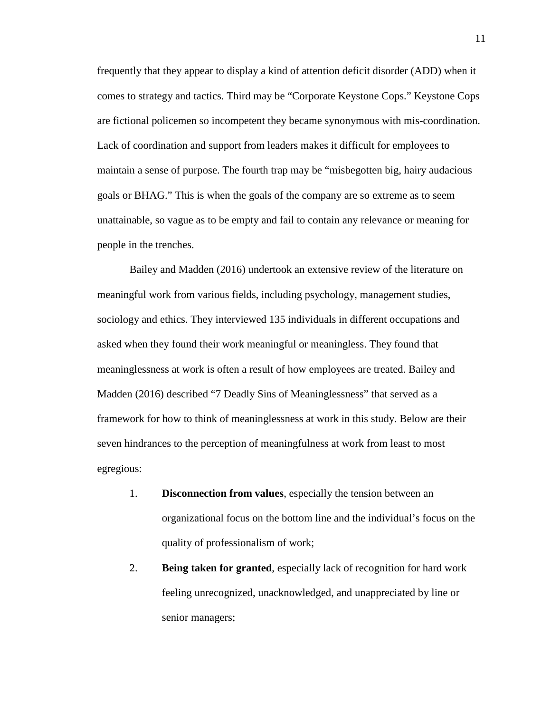frequently that they appear to display a kind of attention deficit disorder (ADD) when it comes to strategy and tactics. Third may be "Corporate Keystone Cops." Keystone Cops are fictional policemen so incompetent they became synonymous with mis-coordination. Lack of coordination and support from leaders makes it difficult for employees to maintain a sense of purpose. The fourth trap may be "misbegotten big, hairy audacious goals or BHAG." This is when the goals of the company are so extreme as to seem unattainable, so vague as to be empty and fail to contain any relevance or meaning for people in the trenches.

Bailey and Madden (2016) undertook an extensive review of the literature on meaningful work from various fields, including psychology, management studies, sociology and ethics. They interviewed 135 individuals in different occupations and asked when they found their work meaningful or meaningless. They found that meaninglessness at work is often a result of how employees are treated. Bailey and Madden (2016) described "7 Deadly Sins of Meaninglessness" that served as a framework for how to think of meaninglessness at work in this study. Below are their seven hindrances to the perception of meaningfulness at work from least to most egregious:

- 1. **Disconnection from values**, especially the tension between an organizational focus on the bottom line and the individual's focus on the quality of professionalism of work;
- 2. **Being taken for granted**, especially lack of recognition for hard work feeling unrecognized, unacknowledged, and unappreciated by line or senior managers;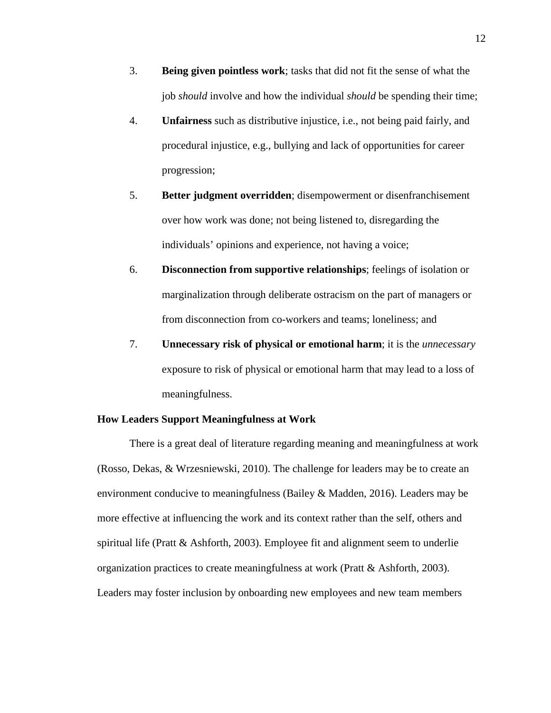- 3. **Being given pointless work**; tasks that did not fit the sense of what the job *should* involve and how the individual *should* be spending their time;
- 4. **Unfairness** such as distributive injustice, i.e., not being paid fairly, and procedural injustice, e.g., bullying and lack of opportunities for career progression;
- 5. **Better judgment overridden**; disempowerment or disenfranchisement over how work was done; not being listened to, disregarding the individuals' opinions and experience, not having a voice;
- 6. **Disconnection from supportive relationships**; feelings of isolation or marginalization through deliberate ostracism on the part of managers or from disconnection from co-workers and teams; loneliness; and
- 7. **Unnecessary risk of physical or emotional harm**; it is the *unnecessary* exposure to risk of physical or emotional harm that may lead to a loss of meaningfulness.

### <span id="page-20-0"></span>**How Leaders Support Meaningfulness at Work**

There is a great deal of literature regarding meaning and meaningfulness at work (Rosso, Dekas, & Wrzesniewski, 2010). The challenge for leaders may be to create an environment conducive to meaningfulness (Bailey & Madden, 2016). Leaders may be more effective at influencing the work and its context rather than the self, others and spiritual life (Pratt & Ashforth, 2003). Employee fit and alignment seem to underlie organization practices to create meaningfulness at work (Pratt & Ashforth, 2003). Leaders may foster inclusion by onboarding new employees and new team members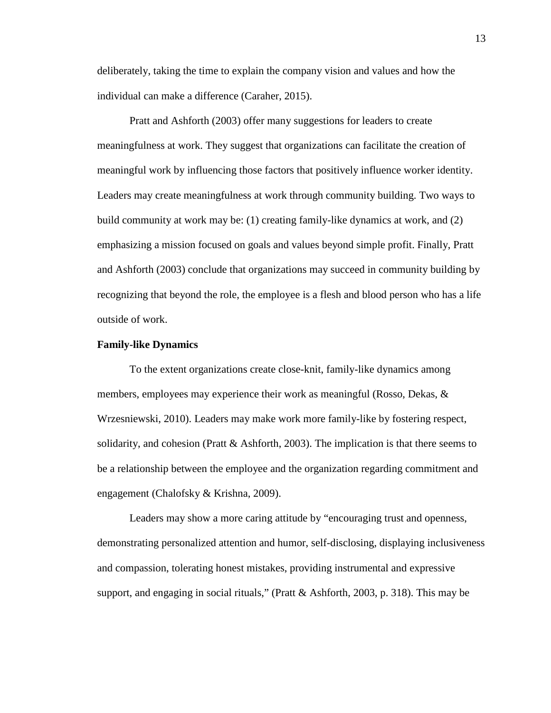deliberately, taking the time to explain the company vision and values and how the individual can make a difference (Caraher, 2015).

Pratt and Ashforth (2003) offer many suggestions for leaders to create meaningfulness at work. They suggest that organizations can facilitate the creation of meaningful work by influencing those factors that positively influence worker identity. Leaders may create meaningfulness at work through community building. Two ways to build community at work may be: (1) creating family-like dynamics at work, and (2) emphasizing a mission focused on goals and values beyond simple profit. Finally, Pratt and Ashforth (2003) conclude that organizations may succeed in community building by recognizing that beyond the role, the employee is a flesh and blood person who has a life outside of work.

#### <span id="page-21-0"></span>**Family-like Dynamics**

To the extent organizations create close-knit, family-like dynamics among members, employees may experience their work as meaningful (Rosso, Dekas,  $\&$ Wrzesniewski, 2010). Leaders may make work more family-like by fostering respect, solidarity, and cohesion (Pratt  $\&$  Ashforth, 2003). The implication is that there seems to be a relationship between the employee and the organization regarding commitment and engagement (Chalofsky & Krishna, 2009).

Leaders may show a more caring attitude by "encouraging trust and openness, demonstrating personalized attention and humor, self-disclosing, displaying inclusiveness and compassion, tolerating honest mistakes, providing instrumental and expressive support, and engaging in social rituals," (Pratt & Ashforth, 2003, p. 318). This may be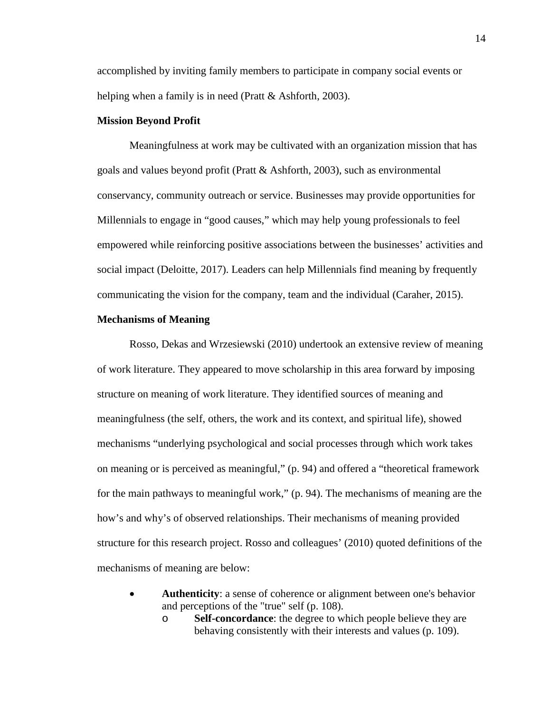accomplished by inviting family members to participate in company social events or helping when a family is in need (Pratt & Ashforth, 2003).

### <span id="page-22-0"></span>**Mission Beyond Profit**

Meaningfulness at work may be cultivated with an organization mission that has goals and values beyond profit (Pratt  $\&$  Ashforth, 2003), such as environmental conservancy, community outreach or service. Businesses may provide opportunities for Millennials to engage in "good causes," which may help young professionals to feel empowered while reinforcing positive associations between the businesses' activities and social impact (Deloitte, 2017). Leaders can help Millennials find meaning by frequently communicating the vision for the company, team and the individual (Caraher, 2015).

### <span id="page-22-1"></span>**Mechanisms of Meaning**

Rosso, Dekas and Wrzesiewski (2010) undertook an extensive review of meaning of work literature. They appeared to move scholarship in this area forward by imposing structure on meaning of work literature. They identified sources of meaning and meaningfulness (the self, others, the work and its context, and spiritual life), showed mechanisms "underlying psychological and social processes through which work takes on meaning or is perceived as meaningful," (p. 94) and offered a "theoretical framework for the main pathways to meaningful work," (p. 94). The mechanisms of meaning are the how's and why's of observed relationships. Their mechanisms of meaning provided structure for this research project. Rosso and colleagues' (2010) quoted definitions of the mechanisms of meaning are below:

- **Authenticity**: a sense of coherence or alignment between one's behavior and perceptions of the "true" self (p. 108).
	- o **Self-concordance**: the degree to which people believe they are behaving consistently with their interests and values (p. 109).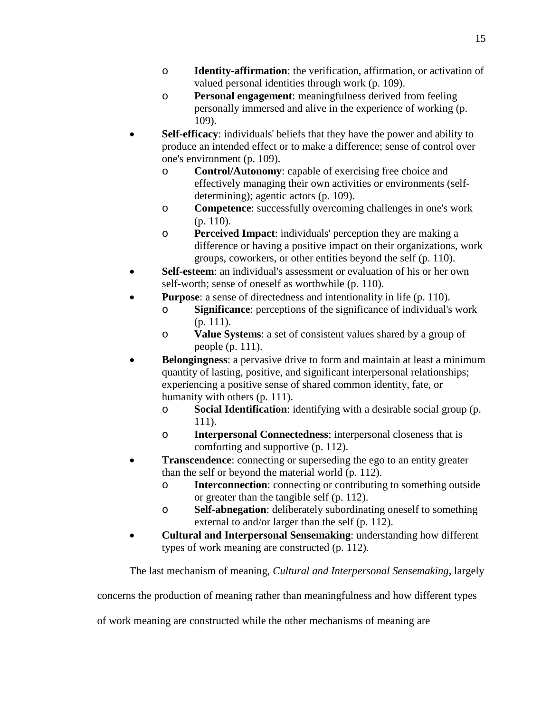- o **Identity-affirmation**: the verification, affirmation, or activation of valued personal identities through work (p. 109).
- o **Personal engagement**: meaningfulness derived from feeling personally immersed and alive in the experience of working (p. 109).
- **Self-efficacy**: individuals' beliefs that they have the power and ability to produce an intended effect or to make a difference; sense of control over one's environment (p. 109).
	- o **Control/Autonomy**: capable of exercising free choice and effectively managing their own activities or environments (selfdetermining); agentic actors (p. 109).
	- o **Competence**: successfully overcoming challenges in one's work (p. 110).
	- o **Perceived Impact**: individuals' perception they are making a difference or having a positive impact on their organizations, work groups, coworkers, or other entities beyond the self (p. 110).
- **Self-esteem**: an individual's assessment or evaluation of his or her own self-worth; sense of oneself as worthwhile (p. 110).
- **Purpose:** a sense of directedness and intentionality in life (p. 110).
	- o **Significance**: perceptions of the significance of individual's work (p. 111).
	- o **Value Systems**: a set of consistent values shared by a group of people (p. 111).
- **Belongingness**: a pervasive drive to form and maintain at least a minimum quantity of lasting, positive, and significant interpersonal relationships; experiencing a positive sense of shared common identity, fate, or humanity with others (p. 111).
	- o **Social Identification**: identifying with a desirable social group (p. 111).
	- o **Interpersonal Connectedness**; interpersonal closeness that is comforting and supportive (p. 112).
- **Transcendence**: connecting or superseding the ego to an entity greater than the self or beyond the material world (p. 112).
	- o **Interconnection**: connecting or contributing to something outside or greater than the tangible self (p. 112).
	- o **Self-abnegation**: deliberately subordinating oneself to something external to and/or larger than the self (p. 112).
- **Cultural and Interpersonal Sensemaking**: understanding how different types of work meaning are constructed (p. 112).

The last mechanism of meaning, *Cultural and Interpersonal Sensemaking*, largely

concerns the production of meaning rather than meaningfulness and how different types

of work meaning are constructed while the other mechanisms of meaning are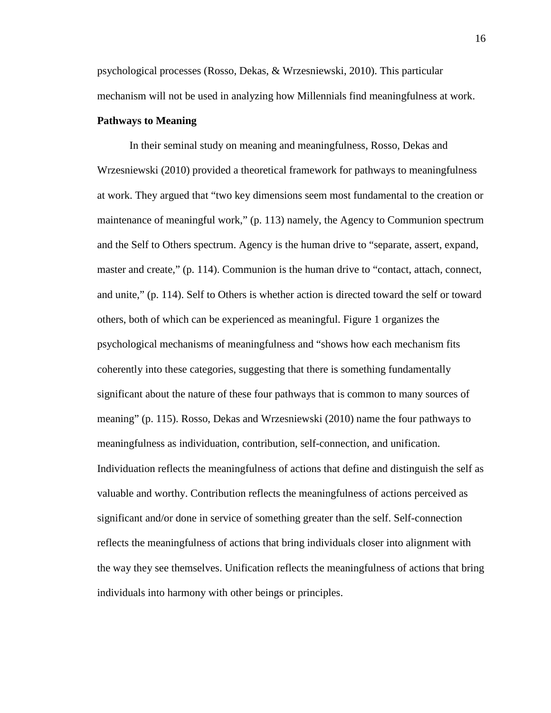psychological processes (Rosso, Dekas, & Wrzesniewski, 2010). This particular mechanism will not be used in analyzing how Millennials find meaningfulness at work.

### <span id="page-24-0"></span>**Pathways to Meaning**

In their seminal study on meaning and meaningfulness, Rosso, Dekas and Wrzesniewski (2010) provided a theoretical framework for pathways to meaningfulness at work. They argued that "two key dimensions seem most fundamental to the creation or maintenance of meaningful work," (p. 113) namely, the Agency to Communion spectrum and the Self to Others spectrum. Agency is the human drive to "separate, assert, expand, master and create," (p. 114). Communion is the human drive to "contact, attach, connect, and unite," (p. 114). Self to Others is whether action is directed toward the self or toward others, both of which can be experienced as meaningful. Figure 1 organizes the psychological mechanisms of meaningfulness and "shows how each mechanism fits coherently into these categories, suggesting that there is something fundamentally significant about the nature of these four pathways that is common to many sources of meaning" (p. 115). Rosso, Dekas and Wrzesniewski (2010) name the four pathways to meaningfulness as individuation, contribution, self-connection, and unification. Individuation reflects the meaningfulness of actions that define and distinguish the self as valuable and worthy. Contribution reflects the meaningfulness of actions perceived as significant and/or done in service of something greater than the self. Self-connection reflects the meaningfulness of actions that bring individuals closer into alignment with the way they see themselves. Unification reflects the meaningfulness of actions that bring individuals into harmony with other beings or principles.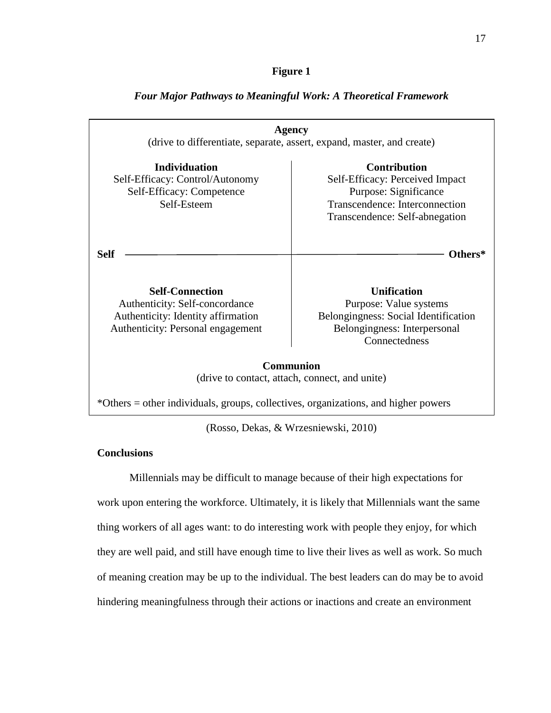### **Figure 1**

| <b>Agency</b><br>(drive to differentiate, separate, assert, expand, master, and create)                                             |                                                                                                                                                     |  |
|-------------------------------------------------------------------------------------------------------------------------------------|-----------------------------------------------------------------------------------------------------------------------------------------------------|--|
| <b>Individuation</b><br>Self-Efficacy: Control/Autonomy<br>Self-Efficacy: Competence<br>Self-Esteem                                 | <b>Contribution</b><br>Self-Efficacy: Perceived Impact<br>Purpose: Significance<br>Transcendence: Interconnection<br>Transcendence: Self-abnegation |  |
| <b>Self</b>                                                                                                                         | Others*                                                                                                                                             |  |
| <b>Self-Connection</b><br>Authenticity: Self-concordance<br>Authenticity: Identity affirmation<br>Authenticity: Personal engagement | <b>Unification</b><br>Purpose: Value systems<br>Belongingness: Social Identification<br>Belongingness: Interpersonal<br>Connectedness               |  |
| <b>Communion</b><br>(drive to contact, attach, connect, and unite)                                                                  |                                                                                                                                                     |  |
| *Others = other individuals, groups, collectives, organizations, and higher powers                                                  |                                                                                                                                                     |  |

### *Four Major Pathways to Meaningful Work: A Theoretical Framework*

(Rosso, Dekas, & Wrzesniewski, 2010)

### <span id="page-25-0"></span>**Conclusions**

Millennials may be difficult to manage because of their high expectations for work upon entering the workforce. Ultimately, it is likely that Millennials want the same thing workers of all ages want: to do interesting work with people they enjoy, for which they are well paid, and still have enough time to live their lives as well as work. So much of meaning creation may be up to the individual. The best leaders can do may be to avoid hindering meaningfulness through their actions or inactions and create an environment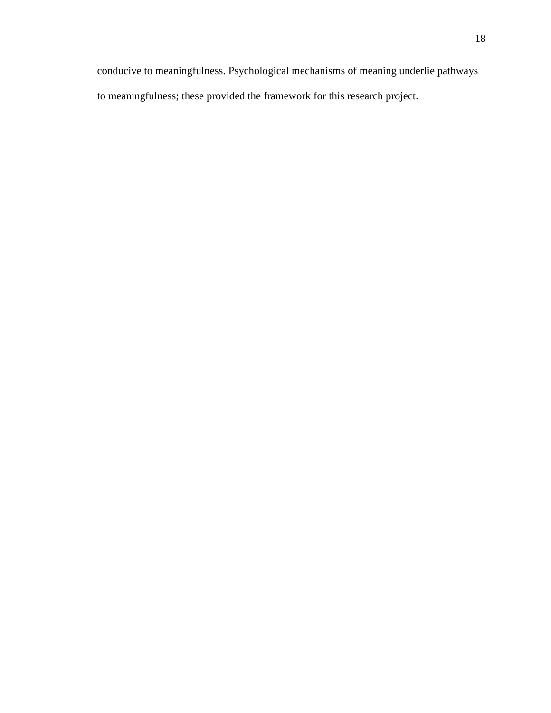conducive to meaningfulness. Psychological mechanisms of meaning underlie pathways to meaningfulness; these provided the framework for this research project.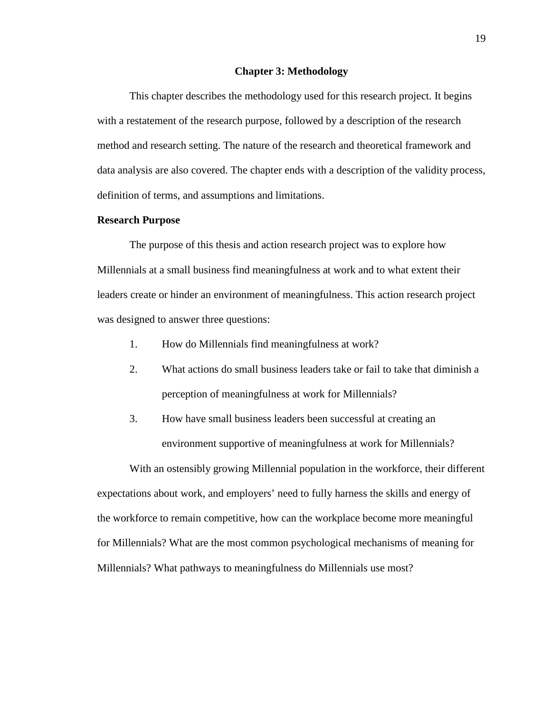#### **Chapter 3: Methodology**

<span id="page-27-0"></span>This chapter describes the methodology used for this research project. It begins with a restatement of the research purpose, followed by a description of the research method and research setting. The nature of the research and theoretical framework and data analysis are also covered. The chapter ends with a description of the validity process, definition of terms, and assumptions and limitations.

### <span id="page-27-1"></span>**Research Purpose**

The purpose of this thesis and action research project was to explore how Millennials at a small business find meaningfulness at work and to what extent their leaders create or hinder an environment of meaningfulness. This action research project was designed to answer three questions:

- 1. How do Millennials find meaningfulness at work?
- 2. What actions do small business leaders take or fail to take that diminish a perception of meaningfulness at work for Millennials?
- 3. How have small business leaders been successful at creating an environment supportive of meaningfulness at work for Millennials?

With an ostensibly growing Millennial population in the workforce, their different expectations about work, and employers' need to fully harness the skills and energy of the workforce to remain competitive, how can the workplace become more meaningful for Millennials? What are the most common psychological mechanisms of meaning for Millennials? What pathways to meaningfulness do Millennials use most?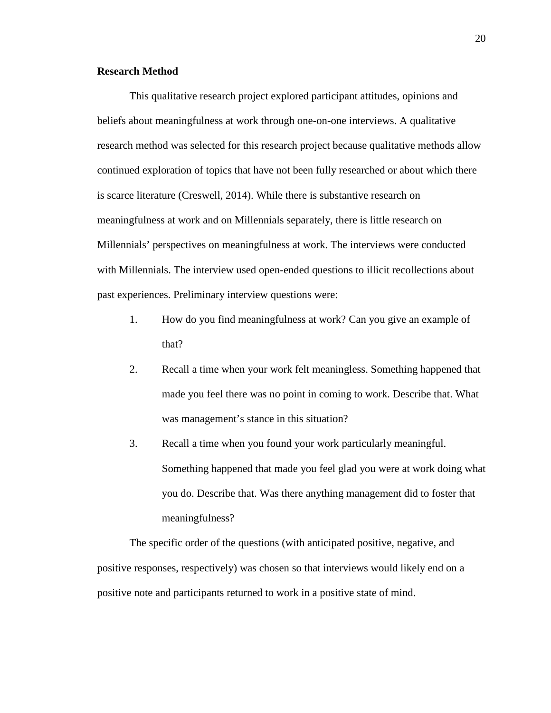### <span id="page-28-0"></span>**Research Method**

This qualitative research project explored participant attitudes, opinions and beliefs about meaningfulness at work through one-on-one interviews. A qualitative research method was selected for this research project because qualitative methods allow continued exploration of topics that have not been fully researched or about which there is scarce literature (Creswell, 2014). While there is substantive research on meaningfulness at work and on Millennials separately, there is little research on Millennials' perspectives on meaningfulness at work. The interviews were conducted with Millennials. The interview used open-ended questions to illicit recollections about past experiences. Preliminary interview questions were:

- 1. How do you find meaningfulness at work? Can you give an example of that?
- 2. Recall a time when your work felt meaningless. Something happened that made you feel there was no point in coming to work. Describe that. What was management's stance in this situation?
- 3. Recall a time when you found your work particularly meaningful. Something happened that made you feel glad you were at work doing what you do. Describe that. Was there anything management did to foster that meaningfulness?

The specific order of the questions (with anticipated positive, negative, and positive responses, respectively) was chosen so that interviews would likely end on a positive note and participants returned to work in a positive state of mind.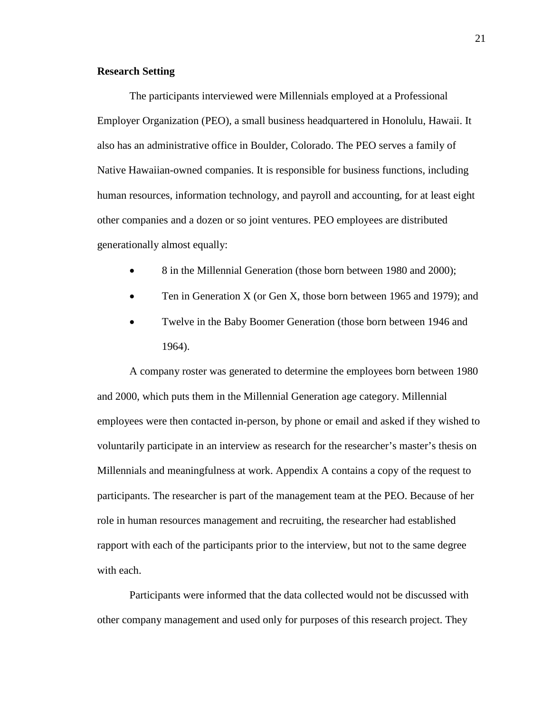### <span id="page-29-0"></span>**Research Setting**

The participants interviewed were Millennials employed at a Professional Employer Organization (PEO), a small business headquartered in Honolulu, Hawaii. It also has an administrative office in Boulder, Colorado. The PEO serves a family of Native Hawaiian-owned companies. It is responsible for business functions, including human resources, information technology, and payroll and accounting, for at least eight other companies and a dozen or so joint ventures. PEO employees are distributed generationally almost equally:

- 8 in the Millennial Generation (those born between 1980 and 2000);
- Ten in Generation X (or Gen X, those born between 1965 and 1979); and
- Twelve in the Baby Boomer Generation (those born between 1946 and 1964).

A company roster was generated to determine the employees born between 1980 and 2000, which puts them in the Millennial Generation age category. Millennial employees were then contacted in-person, by phone or email and asked if they wished to voluntarily participate in an interview as research for the researcher's master's thesis on Millennials and meaningfulness at work. Appendix A contains a copy of the request to participants. The researcher is part of the management team at the PEO. Because of her role in human resources management and recruiting, the researcher had established rapport with each of the participants prior to the interview, but not to the same degree with each.

Participants were informed that the data collected would not be discussed with other company management and used only for purposes of this research project. They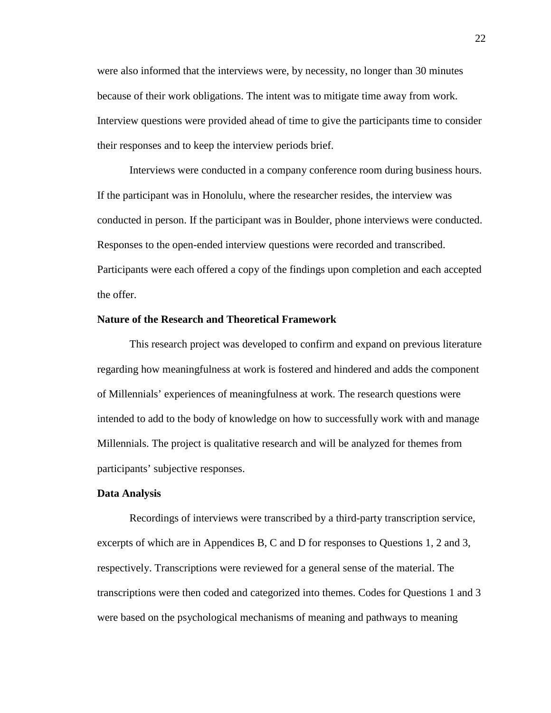were also informed that the interviews were, by necessity, no longer than 30 minutes because of their work obligations. The intent was to mitigate time away from work. Interview questions were provided ahead of time to give the participants time to consider their responses and to keep the interview periods brief.

Interviews were conducted in a company conference room during business hours. If the participant was in Honolulu, where the researcher resides, the interview was conducted in person. If the participant was in Boulder, phone interviews were conducted. Responses to the open-ended interview questions were recorded and transcribed. Participants were each offered a copy of the findings upon completion and each accepted the offer.

### <span id="page-30-0"></span>**Nature of the Research and Theoretical Framework**

This research project was developed to confirm and expand on previous literature regarding how meaningfulness at work is fostered and hindered and adds the component of Millennials' experiences of meaningfulness at work. The research questions were intended to add to the body of knowledge on how to successfully work with and manage Millennials. The project is qualitative research and will be analyzed for themes from participants' subjective responses.

#### <span id="page-30-1"></span>**Data Analysis**

Recordings of interviews were transcribed by a third-party transcription service, excerpts of which are in Appendices B, C and D for responses to Questions 1, 2 and 3, respectively. Transcriptions were reviewed for a general sense of the material. The transcriptions were then coded and categorized into themes. Codes for Questions 1 and 3 were based on the psychological mechanisms of meaning and pathways to meaning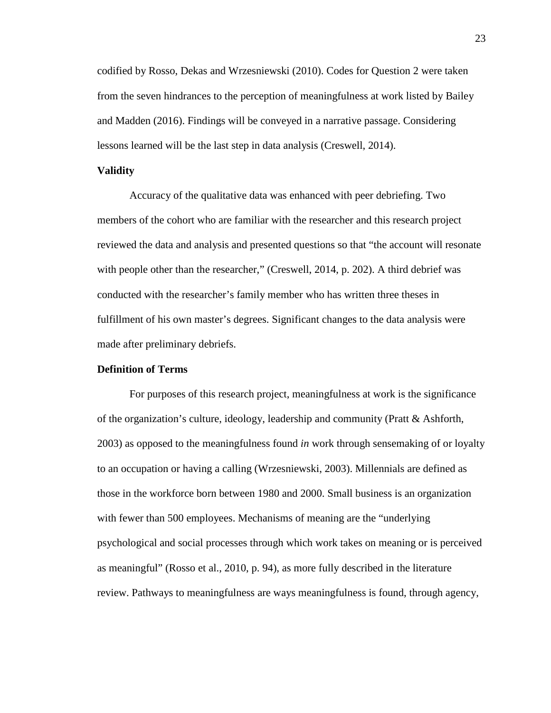codified by Rosso, Dekas and Wrzesniewski (2010). Codes for Question 2 were taken from the seven hindrances to the perception of meaningfulness at work listed by Bailey and Madden (2016). Findings will be conveyed in a narrative passage. Considering lessons learned will be the last step in data analysis (Creswell, 2014).

#### <span id="page-31-0"></span>**Validity**

Accuracy of the qualitative data was enhanced with peer debriefing. Two members of the cohort who are familiar with the researcher and this research project reviewed the data and analysis and presented questions so that "the account will resonate with people other than the researcher," (Creswell, 2014, p. 202). A third debrief was conducted with the researcher's family member who has written three theses in fulfillment of his own master's degrees. Significant changes to the data analysis were made after preliminary debriefs.

### <span id="page-31-1"></span>**Definition of Terms**

For purposes of this research project, meaningfulness at work is the significance of the organization's culture, ideology, leadership and community (Pratt & Ashforth, 2003) as opposed to the meaningfulness found *in* work through sensemaking of or loyalty to an occupation or having a calling (Wrzesniewski, 2003). Millennials are defined as those in the workforce born between 1980 and 2000. Small business is an organization with fewer than 500 employees. Mechanisms of meaning are the "underlying psychological and social processes through which work takes on meaning or is perceived as meaningful" (Rosso et al., 2010, p. 94), as more fully described in the literature review. Pathways to meaningfulness are ways meaningfulness is found, through agency,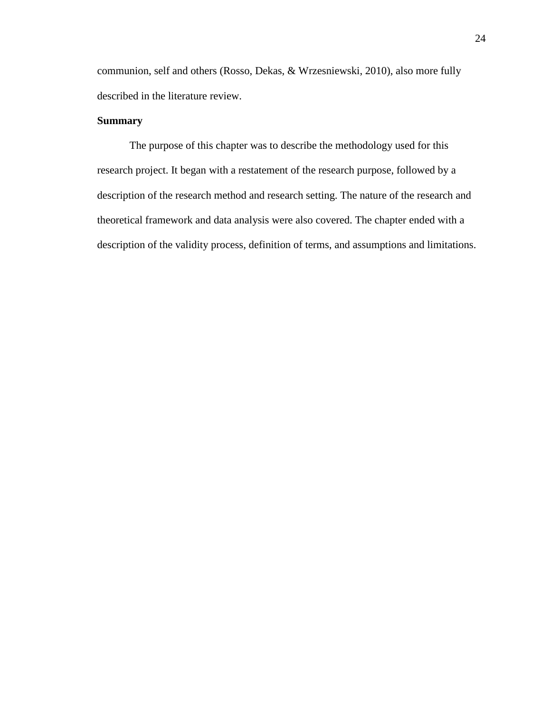communion, self and others (Rosso, Dekas, & Wrzesniewski, 2010), also more fully described in the literature review.

### <span id="page-32-0"></span>**Summary**

The purpose of this chapter was to describe the methodology used for this research project. It began with a restatement of the research purpose, followed by a description of the research method and research setting. The nature of the research and theoretical framework and data analysis were also covered. The chapter ended with a description of the validity process, definition of terms, and assumptions and limitations.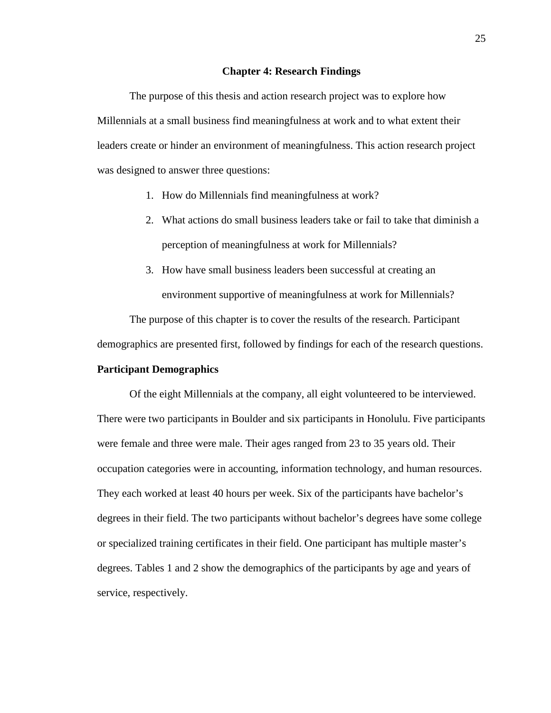#### **Chapter 4: Research Findings**

<span id="page-33-0"></span>The purpose of this thesis and action research project was to explore how Millennials at a small business find meaningfulness at work and to what extent their leaders create or hinder an environment of meaningfulness. This action research project was designed to answer three questions:

- 1. How do Millennials find meaningfulness at work?
- 2. What actions do small business leaders take or fail to take that diminish a perception of meaningfulness at work for Millennials?
- 3. How have small business leaders been successful at creating an environment supportive of meaningfulness at work for Millennials?

The purpose of this chapter is to cover the results of the research. Participant

demographics are presented first, followed by findings for each of the research questions.

### <span id="page-33-1"></span>**Participant Demographics**

Of the eight Millennials at the company, all eight volunteered to be interviewed. There were two participants in Boulder and six participants in Honolulu. Five participants were female and three were male. Their ages ranged from 23 to 35 years old. Their occupation categories were in accounting, information technology, and human resources. They each worked at least 40 hours per week. Six of the participants have bachelor's degrees in their field. The two participants without bachelor's degrees have some college or specialized training certificates in their field. One participant has multiple master's degrees. Tables 1 and 2 show the demographics of the participants by age and years of service, respectively.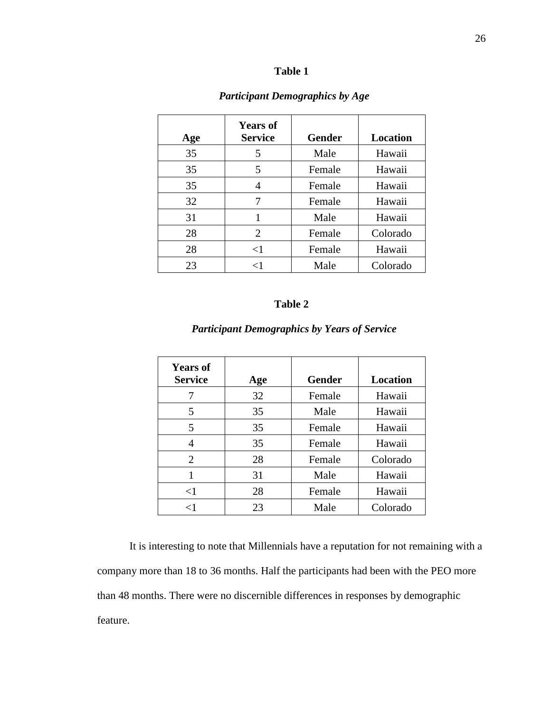### **Table 1**

<span id="page-34-0"></span>

| Age | <b>Years of</b><br><b>Service</b> | <b>Gender</b> | <b>Location</b> |
|-----|-----------------------------------|---------------|-----------------|
| 35  | 5                                 | Male          | Hawaii          |
| 35  | 5                                 | Female        | Hawaii          |
| 35  | 4                                 | Female        | Hawaii          |
| 32  | 7                                 | Female        | Hawaii          |
| 31  | 1                                 | Male          | Hawaii          |
| 28  | 2                                 | Female        | Colorado        |
| 28  | $\leq$ 1                          | Female        | Hawaii          |
| 23  | $\leq$ 1                          | Male          | Colorado        |

### *1Participant Demographics by Age*

### **Table 2**

## *2Participant Demographics by Years of Service*

<span id="page-34-1"></span>

| <b>Years of</b><br><b>Service</b> | Age | <b>Gender</b> | Location |
|-----------------------------------|-----|---------------|----------|
|                                   | 32  | Female        | Hawaii   |
| 5                                 | 35  | Male          | Hawaii   |
| 5                                 | 35  | Female        | Hawaii   |
| 4                                 | 35  | Female        | Hawaii   |
| 2                                 | 28  | Female        | Colorado |
|                                   | 31  | Male          | Hawaii   |
| $\leq$ 1                          | 28  | Female        | Hawaii   |
| ${<}1$                            | 23  | Male          | Colorado |

It is interesting to note that Millennials have a reputation for not remaining with a company more than 18 to 36 months. Half the participants had been with the PEO more than 48 months. There were no discernible differences in responses by demographic feature.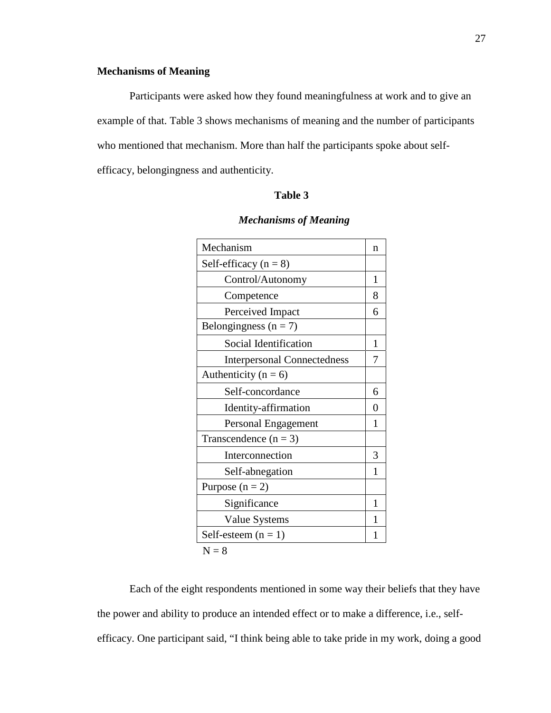### <span id="page-35-0"></span>**Mechanisms of Meaning**

Participants were asked how they found meaningfulness at work and to give an example of that. Table 3 shows mechanisms of meaning and the number of participants who mentioned that mechanism. More than half the participants spoke about selfefficacy, belongingness and authenticity.

### **Table 3**

<span id="page-35-1"></span>

| n |
|---|
|   |
| 1 |
| 8 |
| 6 |
|   |
| 1 |
| 7 |
|   |
| 6 |
| 0 |
| 1 |
|   |
| 3 |
| 1 |
|   |
| 1 |
|   |
|   |
|   |

### **3***Mechanisms of Meaning*

 $N = 8$ 

Each of the eight respondents mentioned in some way their beliefs that they have the power and ability to produce an intended effect or to make a difference, i.e., selfefficacy. One participant said, "I think being able to take pride in my work, doing a good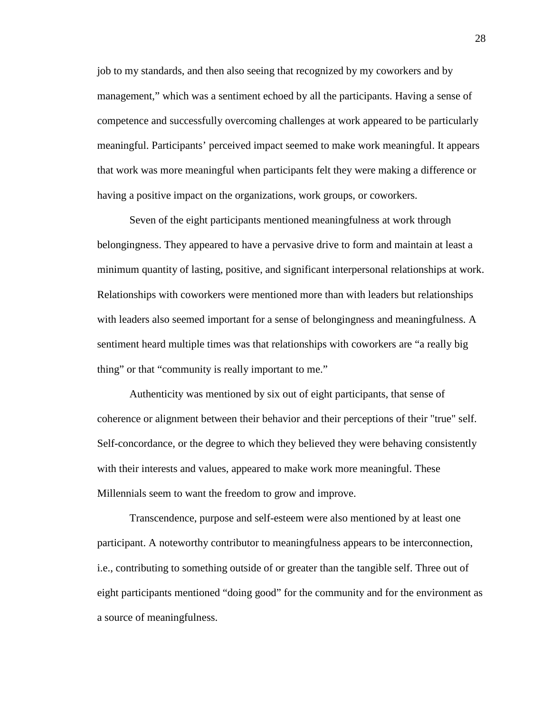job to my standards, and then also seeing that recognized by my coworkers and by management," which was a sentiment echoed by all the participants. Having a sense of competence and successfully overcoming challenges at work appeared to be particularly meaningful. Participants' perceived impact seemed to make work meaningful. It appears that work was more meaningful when participants felt they were making a difference or having a positive impact on the organizations, work groups, or coworkers.

Seven of the eight participants mentioned meaningfulness at work through belongingness. They appeared to have a pervasive drive to form and maintain at least a minimum quantity of lasting, positive, and significant interpersonal relationships at work. Relationships with coworkers were mentioned more than with leaders but relationships with leaders also seemed important for a sense of belongingness and meaningfulness. A sentiment heard multiple times was that relationships with coworkers are "a really big thing" or that "community is really important to me."

Authenticity was mentioned by six out of eight participants, that sense of coherence or alignment between their behavior and their perceptions of their "true" self. Self-concordance, or the degree to which they believed they were behaving consistently with their interests and values, appeared to make work more meaningful. These Millennials seem to want the freedom to grow and improve.

Transcendence, purpose and self-esteem were also mentioned by at least one participant. A noteworthy contributor to meaningfulness appears to be interconnection, i.e., contributing to something outside of or greater than the tangible self. Three out of eight participants mentioned "doing good" for the community and for the environment as a source of meaningfulness.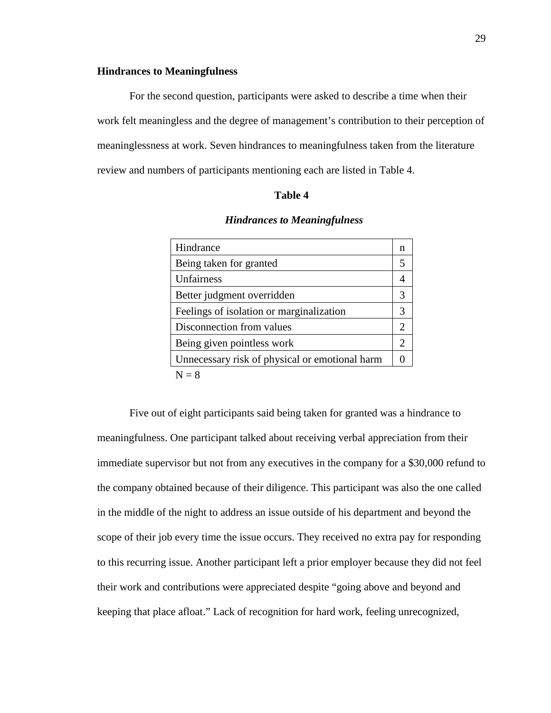### <span id="page-37-0"></span>**Hindrances to Meaningfulness**

For the second question, participants were asked to describe a time when their work felt meaningless and the degree of management's contribution to their perception of meaninglessness at work. Seven hindrances to meaningfulness taken from the literature review and numbers of participants mentioning each are listed in Table 4.

#### **Table 4**

#### **4***Hindrances to Meaningfulness*

<span id="page-37-1"></span>

| Hindrance                                      | n                     |
|------------------------------------------------|-----------------------|
| Being taken for granted                        | 5                     |
| Unfairness                                     |                       |
| Better judgment overridden                     | 3                     |
| Feelings of isolation or marginalization       | 3                     |
| Disconnection from values                      | $\mathcal{D}_{\cdot}$ |
| Being given pointless work                     | 2                     |
| Unnecessary risk of physical or emotional harm |                       |
| ה זו                                           |                       |

 $N = 8$ 

Five out of eight participants said being taken for granted was a hindrance to meaningfulness. One participant talked about receiving verbal appreciation from their immediate supervisor but not from any executives in the company for a \$30,000 refund to the company obtained because of their diligence. This participant was also the one called in the middle of the night to address an issue outside of his department and beyond the scope of their job every time the issue occurs. They received no extra pay for responding to this recurring issue. Another participant left a prior employer because they did not feel their work and contributions were appreciated despite "going above and beyond and keeping that place afloat." Lack of recognition for hard work, feeling unrecognized,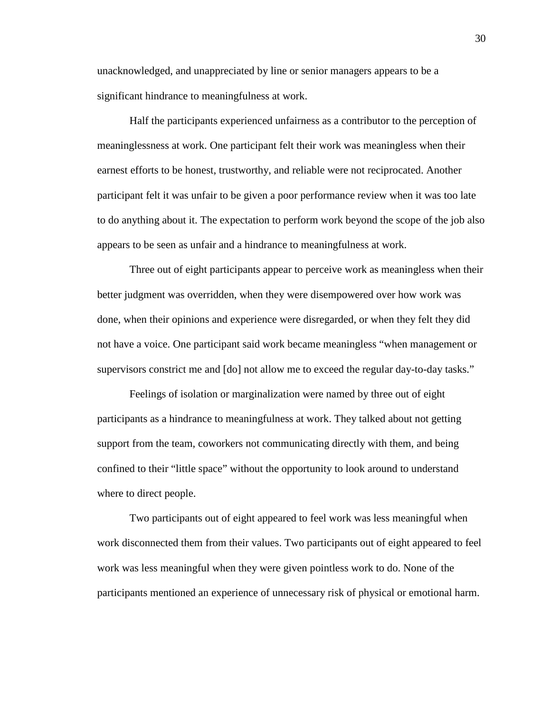unacknowledged, and unappreciated by line or senior managers appears to be a significant hindrance to meaningfulness at work.

Half the participants experienced unfairness as a contributor to the perception of meaninglessness at work. One participant felt their work was meaningless when their earnest efforts to be honest, trustworthy, and reliable were not reciprocated. Another participant felt it was unfair to be given a poor performance review when it was too late to do anything about it. The expectation to perform work beyond the scope of the job also appears to be seen as unfair and a hindrance to meaningfulness at work.

Three out of eight participants appear to perceive work as meaningless when their better judgment was overridden, when they were disempowered over how work was done, when their opinions and experience were disregarded, or when they felt they did not have a voice. One participant said work became meaningless "when management or supervisors constrict me and [do] not allow me to exceed the regular day-to-day tasks."

Feelings of isolation or marginalization were named by three out of eight participants as a hindrance to meaningfulness at work. They talked about not getting support from the team, coworkers not communicating directly with them, and being confined to their "little space" without the opportunity to look around to understand where to direct people.

Two participants out of eight appeared to feel work was less meaningful when work disconnected them from their values. Two participants out of eight appeared to feel work was less meaningful when they were given pointless work to do. None of the participants mentioned an experience of unnecessary risk of physical or emotional harm.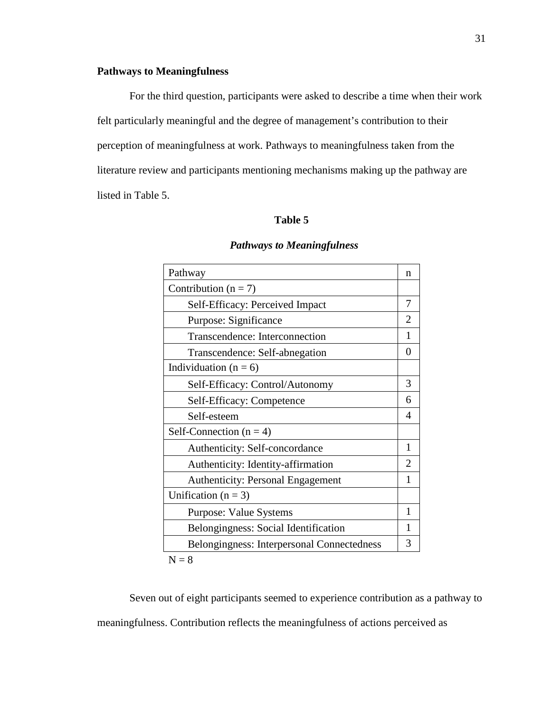### <span id="page-39-0"></span>**Pathways to Meaningfulness**

For the third question, participants were asked to describe a time when their work felt particularly meaningful and the degree of management's contribution to their perception of meaningfulness at work. Pathways to meaningfulness taken from the literature review and participants mentioning mechanisms making up the pathway are listed in Table 5.

### **Table 5**

<span id="page-39-1"></span>

| Pathway                                    | n              |
|--------------------------------------------|----------------|
| Contribution ( $n = 7$ )                   |                |
| Self-Efficacy: Perceived Impact            | 7              |
| Purpose: Significance                      | $\overline{2}$ |
| Transcendence: Interconnection             | 1              |
| Transcendence: Self-abnegation             | 0              |
| Individuation ( $n = 6$ )                  |                |
| Self-Efficacy: Control/Autonomy            | 3              |
| Self-Efficacy: Competence                  | 6              |
| Self-esteem                                | 4              |
| Self-Connection $(n = 4)$                  |                |
| Authenticity: Self-concordance             | 1              |
| Authenticity: Identity-affirmation         | 2              |
| <b>Authenticity: Personal Engagement</b>   | 1              |
| Unification ( $n = 3$ )                    |                |
| <b>Purpose: Value Systems</b>              | 1              |
| Belongingness: Social Identification       | 1              |
| Belongingness: Interpersonal Connectedness | 3              |
| $N = 8$                                    |                |

### **5***Pathways to Meaningfulness*

Seven out of eight participants seemed to experience contribution as a pathway to meaningfulness. Contribution reflects the meaningfulness of actions perceived as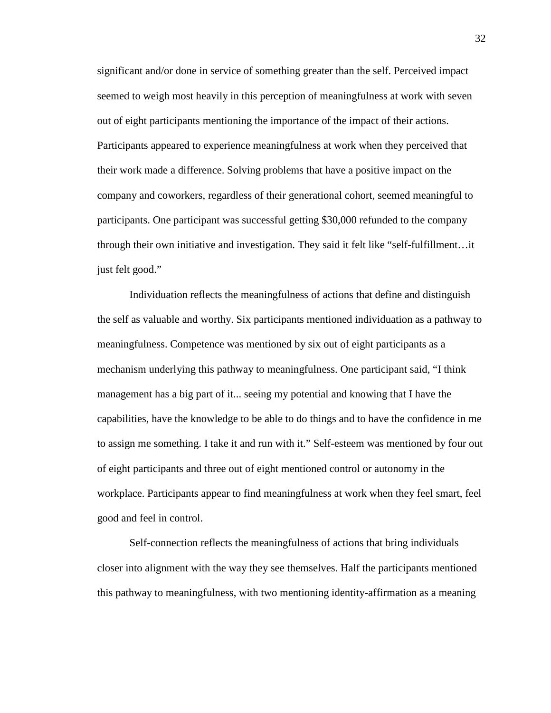significant and/or done in service of something greater than the self. Perceived impact seemed to weigh most heavily in this perception of meaningfulness at work with seven out of eight participants mentioning the importance of the impact of their actions. Participants appeared to experience meaningfulness at work when they perceived that their work made a difference. Solving problems that have a positive impact on the company and coworkers, regardless of their generational cohort, seemed meaningful to participants. One participant was successful getting \$30,000 refunded to the company through their own initiative and investigation. They said it felt like "self-fulfillment…it just felt good."

Individuation reflects the meaningfulness of actions that define and distinguish the self as valuable and worthy. Six participants mentioned individuation as a pathway to meaningfulness. Competence was mentioned by six out of eight participants as a mechanism underlying this pathway to meaningfulness. One participant said, "I think management has a big part of it... seeing my potential and knowing that I have the capabilities, have the knowledge to be able to do things and to have the confidence in me to assign me something. I take it and run with it." Self-esteem was mentioned by four out of eight participants and three out of eight mentioned control or autonomy in the workplace. Participants appear to find meaningfulness at work when they feel smart, feel good and feel in control.

Self-connection reflects the meaningfulness of actions that bring individuals closer into alignment with the way they see themselves. Half the participants mentioned this pathway to meaningfulness, with two mentioning identity-affirmation as a meaning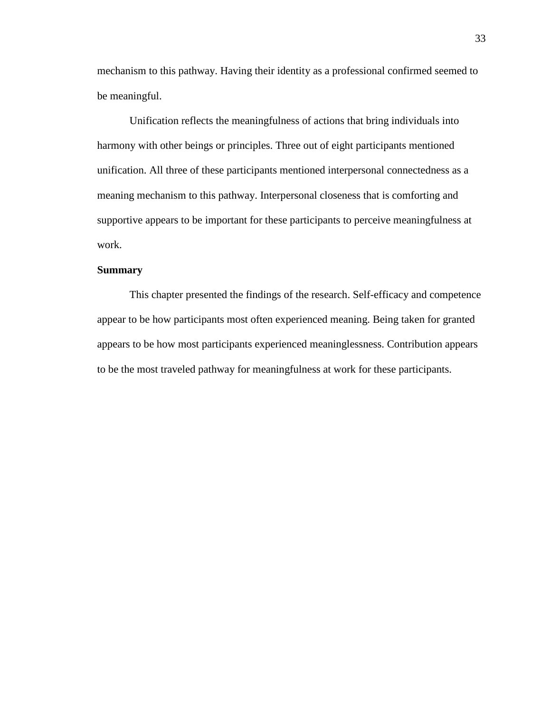mechanism to this pathway. Having their identity as a professional confirmed seemed to be meaningful.

Unification reflects the meaningfulness of actions that bring individuals into harmony with other beings or principles. Three out of eight participants mentioned unification. All three of these participants mentioned interpersonal connectedness as a meaning mechanism to this pathway. Interpersonal closeness that is comforting and supportive appears to be important for these participants to perceive meaningfulness at work.

### <span id="page-41-0"></span>**Summary**

This chapter presented the findings of the research. Self-efficacy and competence appear to be how participants most often experienced meaning. Being taken for granted appears to be how most participants experienced meaninglessness. Contribution appears to be the most traveled pathway for meaningfulness at work for these participants.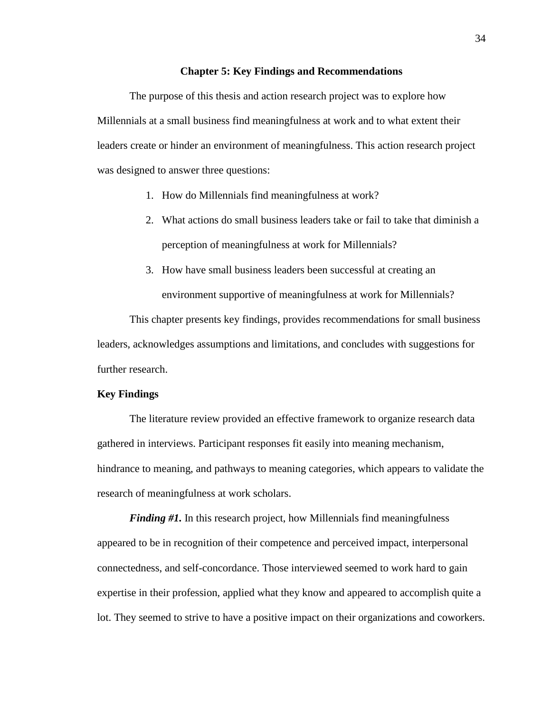#### **Chapter 5: Key Findings and Recommendations**

<span id="page-42-0"></span>The purpose of this thesis and action research project was to explore how Millennials at a small business find meaningfulness at work and to what extent their leaders create or hinder an environment of meaningfulness. This action research project was designed to answer three questions:

- 1. How do Millennials find meaningfulness at work?
- 2. What actions do small business leaders take or fail to take that diminish a perception of meaningfulness at work for Millennials?
- 3. How have small business leaders been successful at creating an environment supportive of meaningfulness at work for Millennials?

This chapter presents key findings, provides recommendations for small business leaders, acknowledges assumptions and limitations, and concludes with suggestions for further research.

#### <span id="page-42-1"></span>**Key Findings**

The literature review provided an effective framework to organize research data gathered in interviews. Participant responses fit easily into meaning mechanism, hindrance to meaning, and pathways to meaning categories, which appears to validate the research of meaningfulness at work scholars.

*Finding #1.* In this research project, how Millennials find meaningfulness appeared to be in recognition of their competence and perceived impact, interpersonal connectedness, and self-concordance. Those interviewed seemed to work hard to gain expertise in their profession, applied what they know and appeared to accomplish quite a lot. They seemed to strive to have a positive impact on their organizations and coworkers.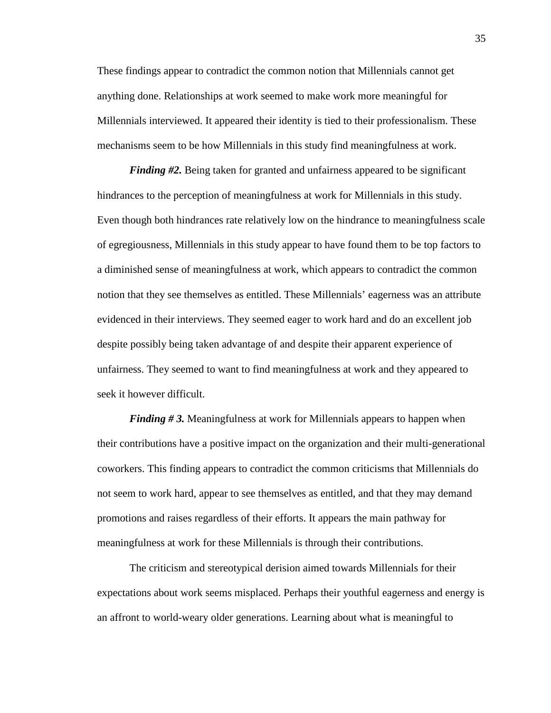These findings appear to contradict the common notion that Millennials cannot get anything done. Relationships at work seemed to make work more meaningful for Millennials interviewed. It appeared their identity is tied to their professionalism. These mechanisms seem to be how Millennials in this study find meaningfulness at work.

*Finding #2.* Being taken for granted and unfairness appeared to be significant hindrances to the perception of meaningfulness at work for Millennials in this study. Even though both hindrances rate relatively low on the hindrance to meaningfulness scale of egregiousness, Millennials in this study appear to have found them to be top factors to a diminished sense of meaningfulness at work, which appears to contradict the common notion that they see themselves as entitled. These Millennials' eagerness was an attribute evidenced in their interviews. They seemed eager to work hard and do an excellent job despite possibly being taken advantage of and despite their apparent experience of unfairness. They seemed to want to find meaningfulness at work and they appeared to seek it however difficult.

*Finding # 3.* Meaningfulness at work for Millennials appears to happen when their contributions have a positive impact on the organization and their multi-generational coworkers. This finding appears to contradict the common criticisms that Millennials do not seem to work hard, appear to see themselves as entitled, and that they may demand promotions and raises regardless of their efforts. It appears the main pathway for meaningfulness at work for these Millennials is through their contributions.

The criticism and stereotypical derision aimed towards Millennials for their expectations about work seems misplaced. Perhaps their youthful eagerness and energy is an affront to world-weary older generations. Learning about what is meaningful to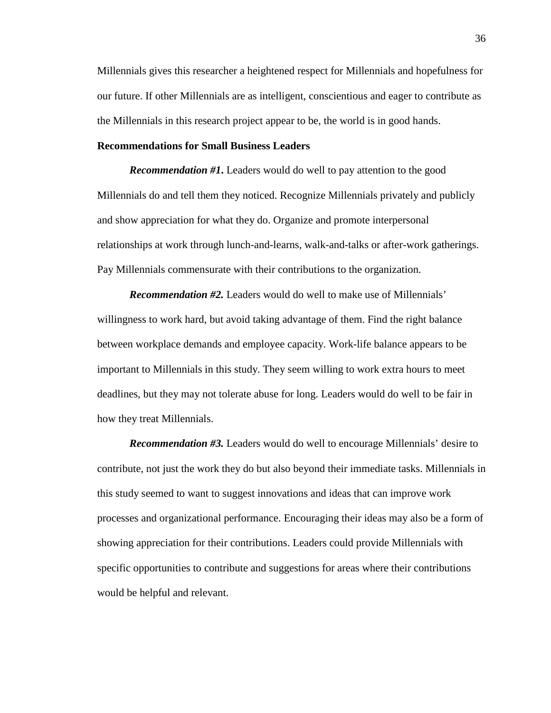Millennials gives this researcher a heightened respect for Millennials and hopefulness for our future. If other Millennials are as intelligent, conscientious and eager to contribute as the Millennials in this research project appear to be, the world is in good hands.

### <span id="page-44-0"></span>**Recommendations for Small Business Leaders**

*Recommendation #1***.** Leaders would do well to pay attention to the good Millennials do and tell them they noticed. Recognize Millennials privately and publicly and show appreciation for what they do. Organize and promote interpersonal relationships at work through lunch-and-learns, walk-and-talks or after-work gatherings. Pay Millennials commensurate with their contributions to the organization.

*Recommendation #2.* Leaders would do well to make use of Millennials' willingness to work hard, but avoid taking advantage of them. Find the right balance between workplace demands and employee capacity. Work-life balance appears to be important to Millennials in this study. They seem willing to work extra hours to meet deadlines, but they may not tolerate abuse for long. Leaders would do well to be fair in how they treat Millennials.

*Recommendation #3.* Leaders would do well to encourage Millennials' desire to contribute, not just the work they do but also beyond their immediate tasks. Millennials in this study seemed to want to suggest innovations and ideas that can improve work processes and organizational performance. Encouraging their ideas may also be a form of showing appreciation for their contributions. Leaders could provide Millennials with specific opportunities to contribute and suggestions for areas where their contributions would be helpful and relevant.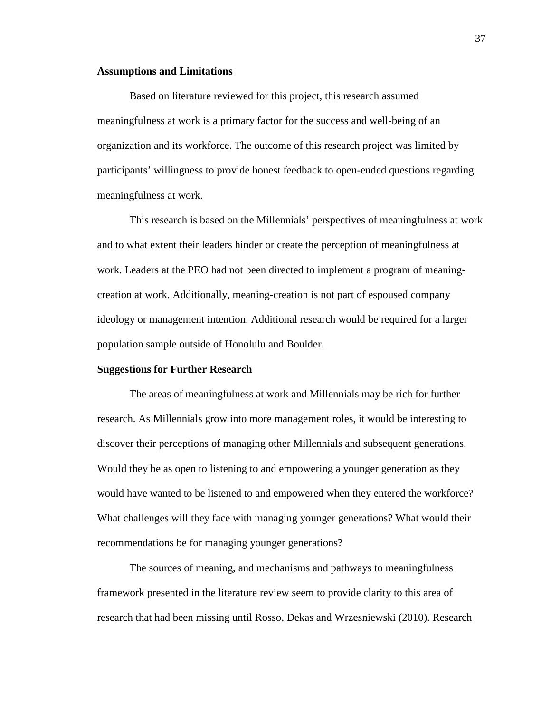#### <span id="page-45-0"></span>**Assumptions and Limitations**

Based on literature reviewed for this project, this research assumed meaningfulness at work is a primary factor for the success and well-being of an organization and its workforce. The outcome of this research project was limited by participants' willingness to provide honest feedback to open-ended questions regarding meaningfulness at work.

This research is based on the Millennials' perspectives of meaningfulness at work and to what extent their leaders hinder or create the perception of meaningfulness at work. Leaders at the PEO had not been directed to implement a program of meaningcreation at work. Additionally, meaning-creation is not part of espoused company ideology or management intention. Additional research would be required for a larger population sample outside of Honolulu and Boulder.

### <span id="page-45-1"></span>**Suggestions for Further Research**

The areas of meaningfulness at work and Millennials may be rich for further research. As Millennials grow into more management roles, it would be interesting to discover their perceptions of managing other Millennials and subsequent generations. Would they be as open to listening to and empowering a younger generation as they would have wanted to be listened to and empowered when they entered the workforce? What challenges will they face with managing younger generations? What would their recommendations be for managing younger generations?

The sources of meaning, and mechanisms and pathways to meaningfulness framework presented in the literature review seem to provide clarity to this area of research that had been missing until Rosso, Dekas and Wrzesniewski (2010). Research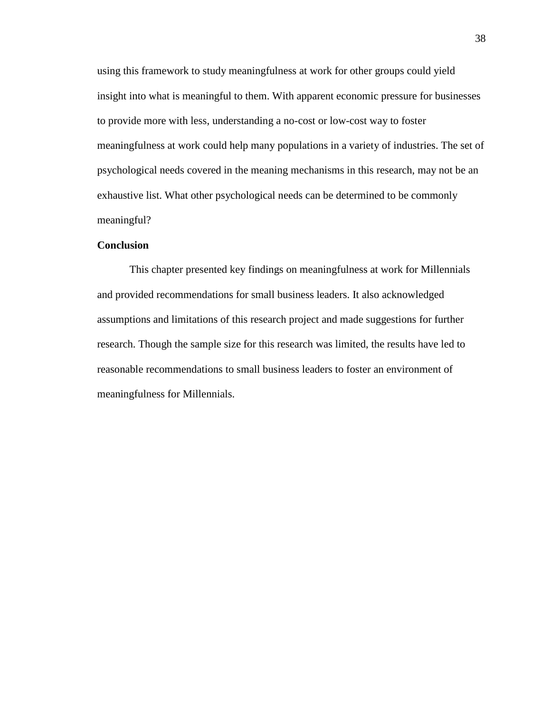using this framework to study meaningfulness at work for other groups could yield insight into what is meaningful to them. With apparent economic pressure for businesses to provide more with less, understanding a no-cost or low-cost way to foster meaningfulness at work could help many populations in a variety of industries. The set of psychological needs covered in the meaning mechanisms in this research, may not be an exhaustive list. What other psychological needs can be determined to be commonly meaningful?

### <span id="page-46-0"></span>**Conclusion**

This chapter presented key findings on meaningfulness at work for Millennials and provided recommendations for small business leaders. It also acknowledged assumptions and limitations of this research project and made suggestions for further research. Though the sample size for this research was limited, the results have led to reasonable recommendations to small business leaders to foster an environment of meaningfulness for Millennials.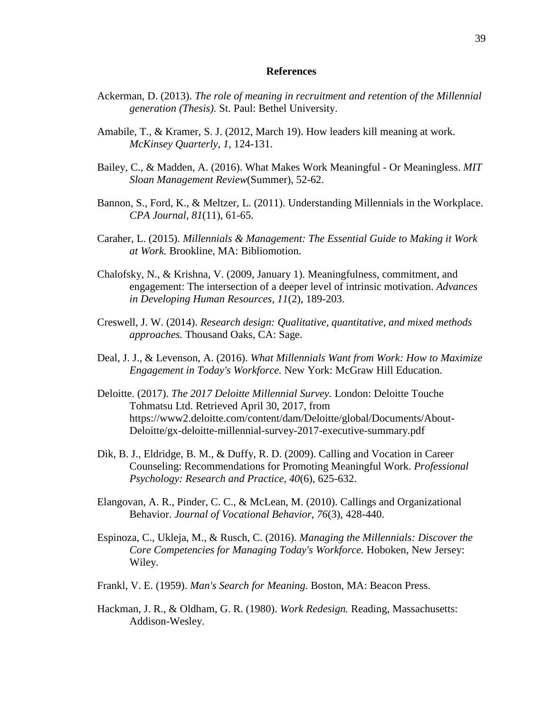#### **References**

- <span id="page-47-0"></span>Ackerman, D. (2013). *The role of meaning in recruitment and retention of the Millennial generation (Thesis).* St. Paul: Bethel University.
- Amabile, T., & Kramer, S. J. (2012, March 19). How leaders kill meaning at work. *McKinsey Quarterly, 1*, 124-131.
- Bailey, C., & Madden, A. (2016). What Makes Work Meaningful Or Meaningless. *MIT Sloan Management Review*(Summer), 52-62.
- Bannon, S., Ford, K., & Meltzer, L. (2011). Understanding Millennials in the Workplace. *CPA Journal, 81*(11), 61-65.
- Caraher, L. (2015). *Millennials & Management: The Essential Guide to Making it Work at Work.* Brookline, MA: Bibliomotion.
- Chalofsky, N., & Krishna, V. (2009, January 1). Meaningfulness, commitment, and engagement: The intersection of a deeper level of intrinsic motivation. *Advances in Developing Human Resources, 11*(2), 189-203.
- Creswell, J. W. (2014). *Research design: Qualitative, quantitative, and mixed methods approaches.* Thousand Oaks, CA: Sage.
- Deal, J. J., & Levenson, A. (2016). *What Millennials Want from Work: How to Maximize Engagement in Today's Workforce.* New York: McGraw Hill Education.
- Deloitte. (2017). *The 2017 Deloitte Millennial Survey.* London: Deloitte Touche Tohmatsu Ltd. Retrieved April 30, 2017, from https://www2.deloitte.com/content/dam/Deloitte/global/Documents/About-Deloitte/gx-deloitte-millennial-survey-2017-executive-summary.pdf
- Dik, B. J., Eldridge, B. M., & Duffy, R. D. (2009). Calling and Vocation in Career Counseling: Recommendations for Promoting Meaningful Work. *Professional Psychology: Research and Practice, 40*(6), 625-632.
- Elangovan, A. R., Pinder, C. C., & McLean, M. (2010). Callings and Organizational Behavior. *Journal of Vocational Behavior, 76*(3), 428-440.
- Espinoza, C., Ukleja, M., & Rusch, C. (2016). *Managing the Millennials: Discover the Core Competencies for Managing Today's Workforce.* Hoboken, New Jersey: Wiley.
- Frankl, V. E. (1959). *Man's Search for Meaning.* Boston, MA: Beacon Press.
- Hackman, J. R., & Oldham, G. R. (1980). *Work Redesign.* Reading, Massachusetts: Addison-Wesley.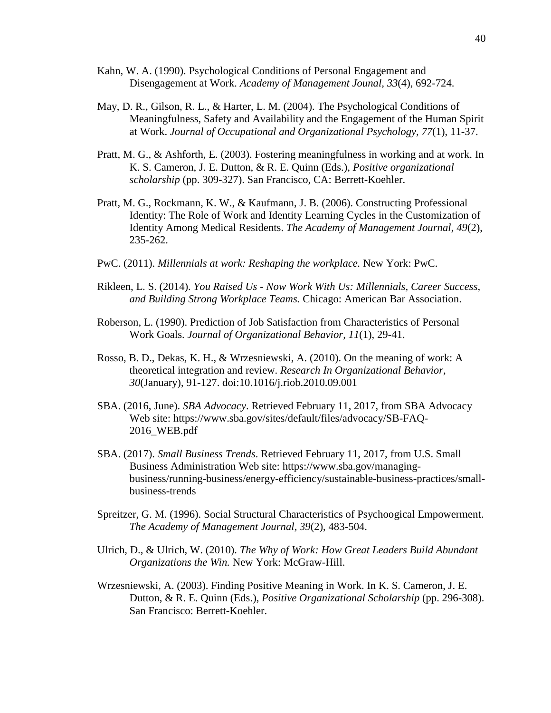- Kahn, W. A. (1990). Psychological Conditions of Personal Engagement and Disengagement at Work. *Academy of Management Jounal, 33*(4), 692-724.
- May, D. R., Gilson, R. L., & Harter, L. M. (2004). The Psychological Conditions of Meaningfulness, Safety and Availability and the Engagement of the Human Spirit at Work. *Journal of Occupational and Organizational Psychology, 77*(1), 11-37.
- Pratt, M. G., & Ashforth, E. (2003). Fostering meaningfulness in working and at work. In K. S. Cameron, J. E. Dutton, & R. E. Quinn (Eds.), *Positive organizational scholarship* (pp. 309-327). San Francisco, CA: Berrett-Koehler.
- Pratt, M. G., Rockmann, K. W., & Kaufmann, J. B. (2006). Constructing Professional Identity: The Role of Work and Identity Learning Cycles in the Customization of Identity Among Medical Residents. *The Academy of Management Journal, 49*(2), 235-262.
- PwC. (2011). *Millennials at work: Reshaping the workplace.* New York: PwC.
- Rikleen, L. S. (2014). *You Raised Us - Now Work With Us: Millennials, Career Success, and Building Strong Workplace Teams.* Chicago: American Bar Association.
- Roberson, L. (1990). Prediction of Job Satisfaction from Characteristics of Personal Work Goals. *Journal of Organizational Behavior, 11*(1), 29-41.
- Rosso, B. D., Dekas, K. H., & Wrzesniewski, A. (2010). On the meaning of work: A theoretical integration and review. *Research In Organizational Behavior, 30*(January), 91-127. doi:10.1016/j.riob.2010.09.001
- SBA. (2016, June). *SBA Advocacy*. Retrieved February 11, 2017, from SBA Advocacy Web site: https://www.sba.gov/sites/default/files/advocacy/SB-FAQ-2016\_WEB.pdf
- SBA. (2017). *Small Business Trends*. Retrieved February 11, 2017, from U.S. Small Business Administration Web site: https://www.sba.gov/managingbusiness/running-business/energy-efficiency/sustainable-business-practices/smallbusiness-trends
- Spreitzer, G. M. (1996). Social Structural Characteristics of Psychoogical Empowerment. *The Academy of Management Journal, 39*(2), 483-504.
- Ulrich, D., & Ulrich, W. (2010). *The Why of Work: How Great Leaders Build Abundant Organizations the Win.* New York: McGraw-Hill.
- Wrzesniewski, A. (2003). Finding Positive Meaning in Work. In K. S. Cameron, J. E. Dutton, & R. E. Quinn (Eds.), *Positive Organizational Scholarship* (pp. 296-308). San Francisco: Berrett-Koehler.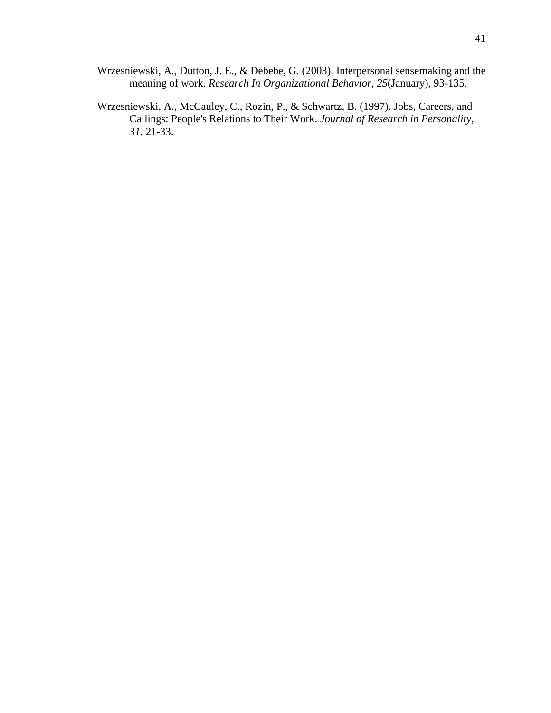- Wrzesniewski, A., Dutton, J. E., & Debebe, G. (2003). Interpersonal sensemaking and the meaning of work. *Research In Organizational Behavior, 25*(January), 93-135.
- Wrzesniewski, A., McCauley, C., Rozin, P., & Schwartz, B. (1997). Jobs, Careers, and Callings: People's Relations to Their Work. *Journal of Research in Personality, 31*, 21-33.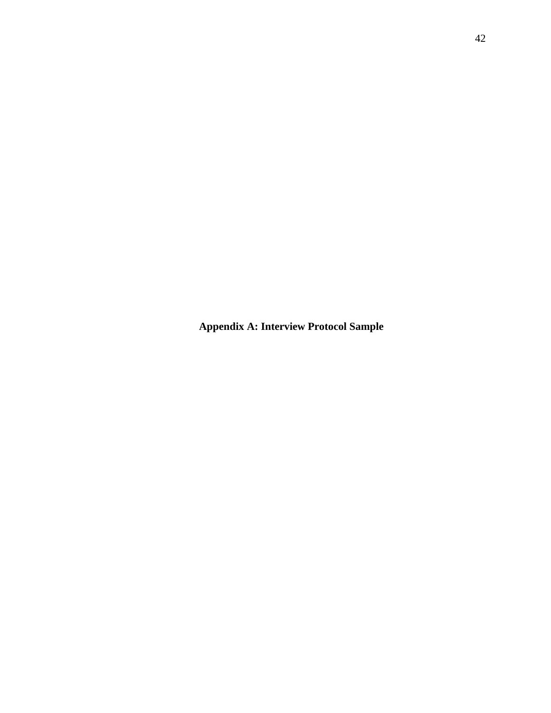**Appendix A: Interview Protocol Sample**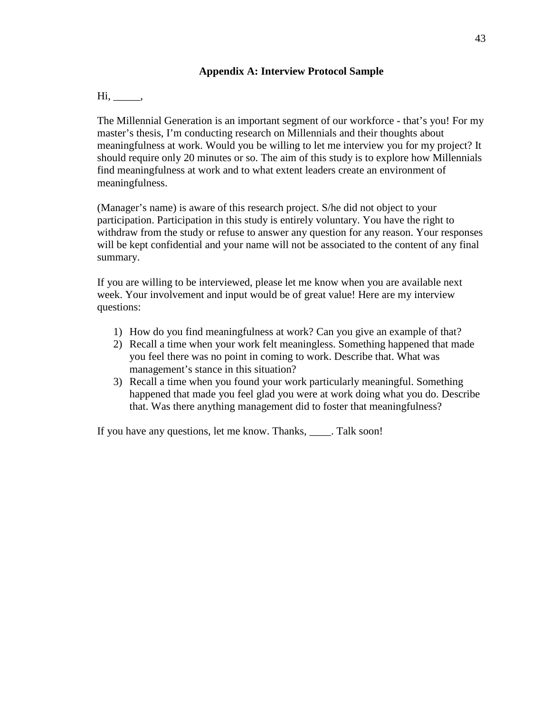### **Appendix A: Interview Protocol Sample**

<span id="page-51-0"></span>Hi, \_\_\_\_\_\_,

The Millennial Generation is an important segment of our workforce - that's you! For my master's thesis, I'm conducting research on Millennials and their thoughts about meaningfulness at work. Would you be willing to let me interview you for my project? It should require only 20 minutes or so. The aim of this study is to explore how Millennials find meaningfulness at work and to what extent leaders create an environment of meaningfulness.

(Manager's name) is aware of this research project. S/he did not object to your participation. Participation in this study is entirely voluntary. You have the right to withdraw from the study or refuse to answer any question for any reason. Your responses will be kept confidential and your name will not be associated to the content of any final summary.

If you are willing to be interviewed, please let me know when you are available next week. Your involvement and input would be of great value! Here are my interview questions:

- 1) How do you find meaningfulness at work? Can you give an example of that?
- 2) Recall a time when your work felt meaningless. Something happened that made you feel there was no point in coming to work. Describe that. What was management's stance in this situation?
- 3) Recall a time when you found your work particularly meaningful. Something happened that made you feel glad you were at work doing what you do. Describe that. Was there anything management did to foster that meaningfulness?

If you have any questions, let me know. Thanks, Talk soon!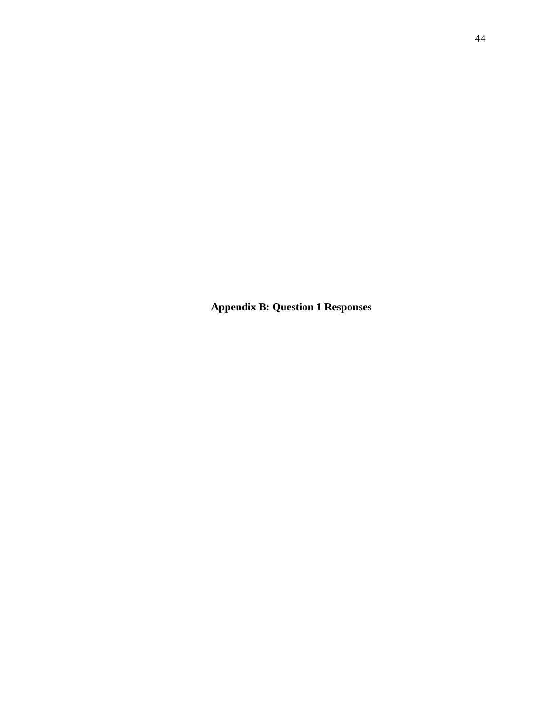**Appendix B: Question 1 Responses**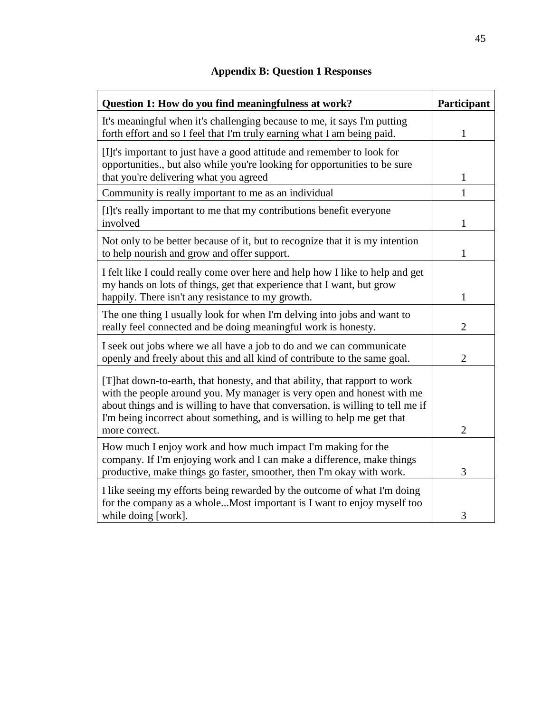<span id="page-53-0"></span>

| Question 1: How do you find meaningfulness at work?                                                                                                                                                                                                                                                                                  | Participant    |
|--------------------------------------------------------------------------------------------------------------------------------------------------------------------------------------------------------------------------------------------------------------------------------------------------------------------------------------|----------------|
| It's meaningful when it's challenging because to me, it says I'm putting<br>forth effort and so I feel that I'm truly earning what I am being paid.                                                                                                                                                                                  | 1              |
| [I]t's important to just have a good attitude and remember to look for<br>opportunities., but also while you're looking for opportunities to be sure<br>that you're delivering what you agreed                                                                                                                                       | 1              |
| Community is really important to me as an individual                                                                                                                                                                                                                                                                                 | 1              |
| [I]t's really important to me that my contributions benefit everyone<br>involved                                                                                                                                                                                                                                                     | 1              |
| Not only to be better because of it, but to recognize that it is my intention<br>to help nourish and grow and offer support.                                                                                                                                                                                                         | 1              |
| I felt like I could really come over here and help how I like to help and get<br>my hands on lots of things, get that experience that I want, but grow<br>happily. There isn't any resistance to my growth.                                                                                                                          | 1              |
| The one thing I usually look for when I'm delving into jobs and want to<br>really feel connected and be doing meaningful work is honesty.                                                                                                                                                                                            | $\overline{2}$ |
| I seek out jobs where we all have a job to do and we can communicate<br>openly and freely about this and all kind of contribute to the same goal.                                                                                                                                                                                    | $\overline{2}$ |
| [T] hat down-to-earth, that honesty, and that ability, that rapport to work<br>with the people around you. My manager is very open and honest with me<br>about things and is willing to have that conversation, is willing to tell me if<br>I'm being incorrect about something, and is willing to help me get that<br>more correct. | $\overline{2}$ |
| How much I enjoy work and how much impact I'm making for the<br>company. If I'm enjoying work and I can make a difference, make things<br>productive, make things go faster, smoother, then I'm okay with work.                                                                                                                      | 3              |
| I like seeing my efforts being rewarded by the outcome of what I'm doing<br>for the company as a wholeMost important is I want to enjoy myself too<br>while doing [work].                                                                                                                                                            | 3              |

# **Appendix B: Question 1 Responses**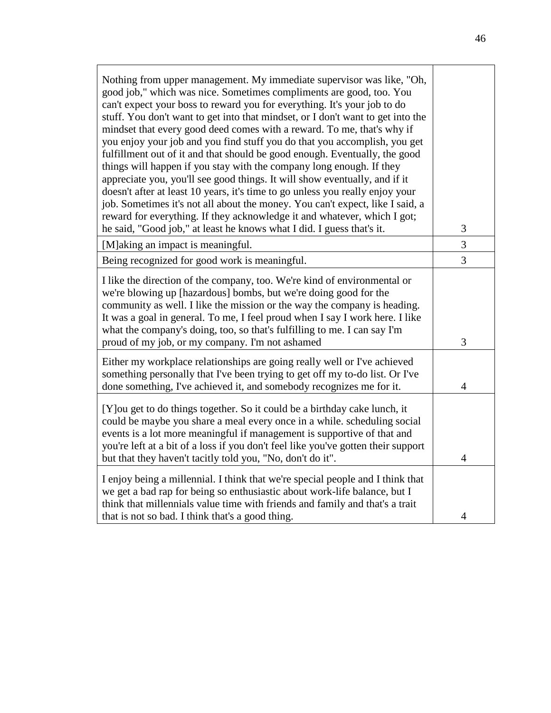| Nothing from upper management. My immediate supervisor was like, "Oh,<br>good job," which was nice. Sometimes compliments are good, too. You<br>can't expect your boss to reward you for everything. It's your job to do<br>stuff. You don't want to get into that mindset, or I don't want to get into the<br>mindset that every good deed comes with a reward. To me, that's why if<br>you enjoy your job and you find stuff you do that you accomplish, you get<br>fulfillment out of it and that should be good enough. Eventually, the good<br>things will happen if you stay with the company long enough. If they<br>appreciate you, you'll see good things. It will show eventually, and if it<br>doesn't after at least 10 years, it's time to go unless you really enjoy your<br>job. Sometimes it's not all about the money. You can't expect, like I said, a<br>reward for everything. If they acknowledge it and whatever, which I got; |                |
|------------------------------------------------------------------------------------------------------------------------------------------------------------------------------------------------------------------------------------------------------------------------------------------------------------------------------------------------------------------------------------------------------------------------------------------------------------------------------------------------------------------------------------------------------------------------------------------------------------------------------------------------------------------------------------------------------------------------------------------------------------------------------------------------------------------------------------------------------------------------------------------------------------------------------------------------------|----------------|
| he said, "Good job," at least he knows what I did. I guess that's it.                                                                                                                                                                                                                                                                                                                                                                                                                                                                                                                                                                                                                                                                                                                                                                                                                                                                                | 3<br>3         |
| [M] aking an impact is meaningful.<br>Being recognized for good work is meaningful.                                                                                                                                                                                                                                                                                                                                                                                                                                                                                                                                                                                                                                                                                                                                                                                                                                                                  | 3              |
| I like the direction of the company, too. We're kind of environmental or<br>we're blowing up [hazardous] bombs, but we're doing good for the<br>community as well. I like the mission or the way the company is heading.<br>It was a goal in general. To me, I feel proud when I say I work here. I like<br>what the company's doing, too, so that's fulfilling to me. I can say I'm<br>proud of my job, or my company. I'm not ashamed                                                                                                                                                                                                                                                                                                                                                                                                                                                                                                              | 3              |
| Either my workplace relationships are going really well or I've achieved<br>something personally that I've been trying to get off my to-do list. Or I've<br>done something, I've achieved it, and somebody recognizes me for it.                                                                                                                                                                                                                                                                                                                                                                                                                                                                                                                                                                                                                                                                                                                     | $\overline{4}$ |
| [Y] ou get to do things together. So it could be a birthday cake lunch, it<br>could be maybe you share a meal every once in a while. scheduling social<br>events is a lot more meaningful if management is supportive of that and<br>you're left at a bit of a loss if you don't feel like you've gotten their support<br>but that they haven't tacitly told you, "No, don't do it".                                                                                                                                                                                                                                                                                                                                                                                                                                                                                                                                                                 | $\overline{4}$ |
| I enjoy being a millennial. I think that we're special people and I think that<br>we get a bad rap for being so enthusiastic about work-life balance, but I<br>think that millennials value time with friends and family and that's a trait<br>that is not so bad. I think that's a good thing.                                                                                                                                                                                                                                                                                                                                                                                                                                                                                                                                                                                                                                                      | 4              |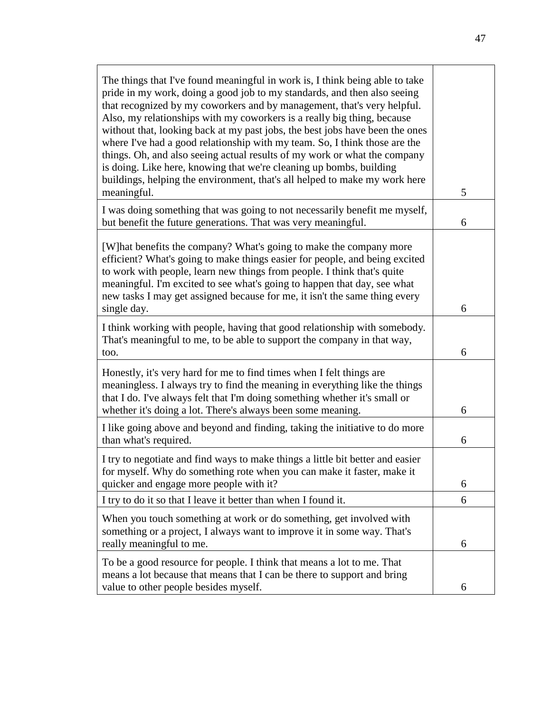| The things that I've found meaningful in work is, I think being able to take<br>pride in my work, doing a good job to my standards, and then also seeing<br>that recognized by my coworkers and by management, that's very helpful.<br>Also, my relationships with my coworkers is a really big thing, because<br>without that, looking back at my past jobs, the best jobs have been the ones<br>where I've had a good relationship with my team. So, I think those are the |   |
|------------------------------------------------------------------------------------------------------------------------------------------------------------------------------------------------------------------------------------------------------------------------------------------------------------------------------------------------------------------------------------------------------------------------------------------------------------------------------|---|
| things. Oh, and also seeing actual results of my work or what the company<br>is doing. Like here, knowing that we're cleaning up bombs, building<br>buildings, helping the environment, that's all helped to make my work here<br>meaningful.                                                                                                                                                                                                                                | 5 |
| I was doing something that was going to not necessarily benefit me myself,<br>but benefit the future generations. That was very meaningful.                                                                                                                                                                                                                                                                                                                                  | 6 |
| [W] hat benefits the company? What's going to make the company more<br>efficient? What's going to make things easier for people, and being excited<br>to work with people, learn new things from people. I think that's quite<br>meaningful. I'm excited to see what's going to happen that day, see what<br>new tasks I may get assigned because for me, it isn't the same thing every<br>single day.                                                                       | 6 |
| I think working with people, having that good relationship with somebody.<br>That's meaningful to me, to be able to support the company in that way,<br>too.                                                                                                                                                                                                                                                                                                                 | 6 |
| Honestly, it's very hard for me to find times when I felt things are<br>meaningless. I always try to find the meaning in everything like the things<br>that I do. I've always felt that I'm doing something whether it's small or<br>whether it's doing a lot. There's always been some meaning.                                                                                                                                                                             | 6 |
| I like going above and beyond and finding, taking the initiative to do more<br>than what's required.                                                                                                                                                                                                                                                                                                                                                                         | 6 |
| I try to negotiate and find ways to make things a little bit better and easier<br>for myself. Why do something rote when you can make it faster, make it<br>quicker and engage more people with it?                                                                                                                                                                                                                                                                          | 6 |
| I try to do it so that I leave it better than when I found it.                                                                                                                                                                                                                                                                                                                                                                                                               | 6 |
| When you touch something at work or do something, get involved with<br>something or a project, I always want to improve it in some way. That's<br>really meaningful to me.                                                                                                                                                                                                                                                                                                   | 6 |
| To be a good resource for people. I think that means a lot to me. That<br>means a lot because that means that I can be there to support and bring                                                                                                                                                                                                                                                                                                                            |   |
| value to other people besides myself.                                                                                                                                                                                                                                                                                                                                                                                                                                        | 6 |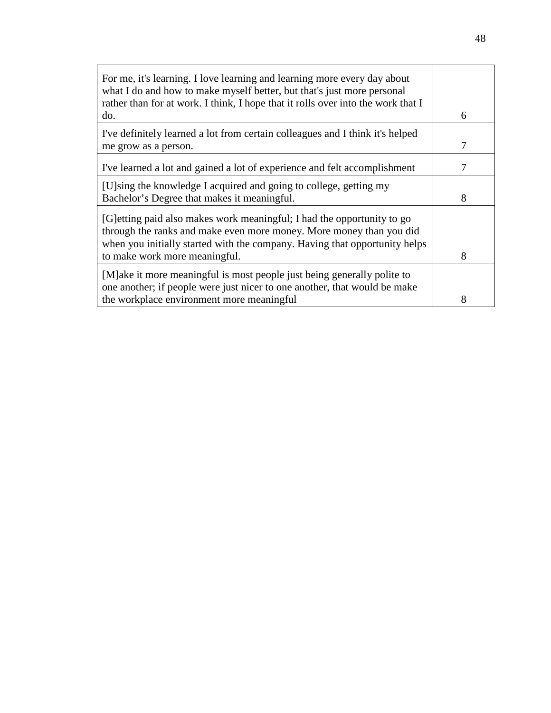| For me, it's learning. I love learning and learning more every day about<br>what I do and how to make myself better, but that's just more personal<br>rather than for at work. I think, I hope that it rolls over into the work that I                        |   |
|---------------------------------------------------------------------------------------------------------------------------------------------------------------------------------------------------------------------------------------------------------------|---|
| do.                                                                                                                                                                                                                                                           | 6 |
| I've definitely learned a lot from certain colleagues and I think it's helped<br>me grow as a person.                                                                                                                                                         | 7 |
|                                                                                                                                                                                                                                                               |   |
| I've learned a lot and gained a lot of experience and felt accomplishment                                                                                                                                                                                     |   |
| [U]sing the knowledge I acquired and going to college, getting my<br>Bachelor's Degree that makes it meaningful.                                                                                                                                              | 8 |
| [G] etting paid also makes work meaningful; I had the opportunity to go<br>through the ranks and make even more money. More money than you did<br>when you initially started with the company. Having that opportunity helps<br>to make work more meaningful. | 8 |
|                                                                                                                                                                                                                                                               |   |
| [M]ake it more meaningful is most people just being generally polite to<br>one another; if people were just nicer to one another, that would be make                                                                                                          |   |
| the workplace environment more meaningful                                                                                                                                                                                                                     | 8 |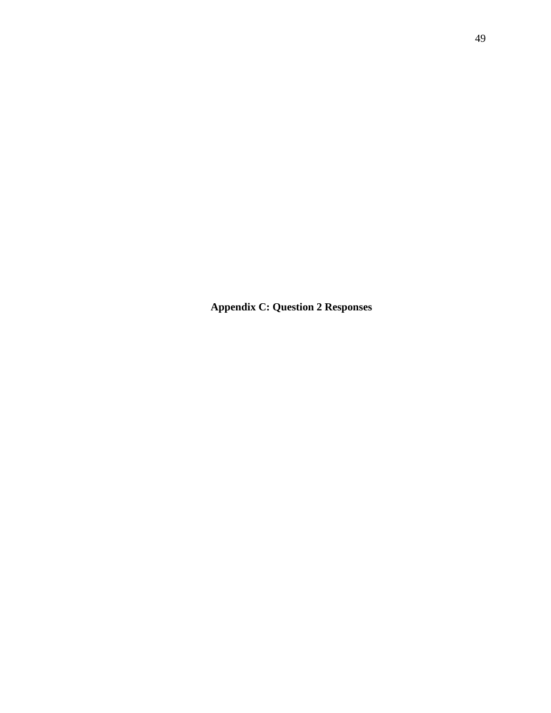**Appendix C: Question 2 Responses**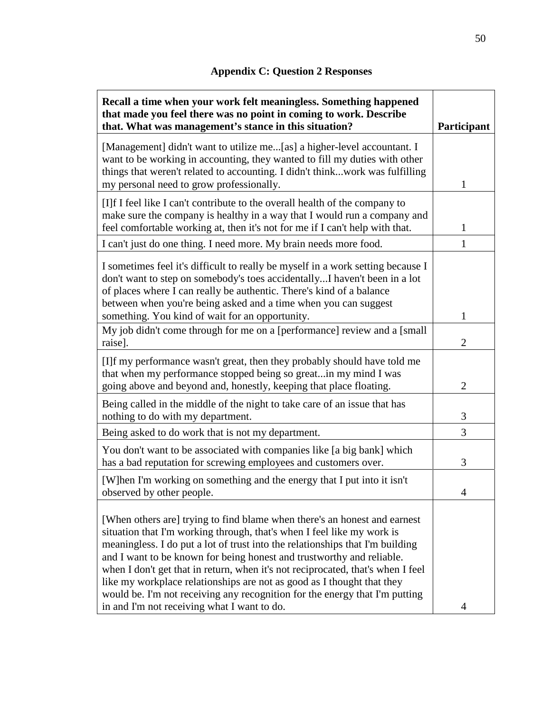# **Appendix C: Question 2 Responses**

<span id="page-58-0"></span>

| Recall a time when your work felt meaningless. Something happened<br>that made you feel there was no point in coming to work. Describe<br>that. What was management's stance in this situation?                                                                                                                                                                                                                                                                                                                                                                                                          | Participant    |
|----------------------------------------------------------------------------------------------------------------------------------------------------------------------------------------------------------------------------------------------------------------------------------------------------------------------------------------------------------------------------------------------------------------------------------------------------------------------------------------------------------------------------------------------------------------------------------------------------------|----------------|
| [Management] didn't want to utilize me[as] a higher-level accountant. I<br>want to be working in accounting, they wanted to fill my duties with other<br>things that weren't related to accounting. I didn't thinkwork was fulfilling<br>my personal need to grow professionally.                                                                                                                                                                                                                                                                                                                        | 1              |
| [I]f I feel like I can't contribute to the overall health of the company to<br>make sure the company is healthy in a way that I would run a company and<br>feel comfortable working at, then it's not for me if I can't help with that.                                                                                                                                                                                                                                                                                                                                                                  | 1              |
| I can't just do one thing. I need more. My brain needs more food.                                                                                                                                                                                                                                                                                                                                                                                                                                                                                                                                        | 1              |
| I sometimes feel it's difficult to really be myself in a work setting because I<br>don't want to step on somebody's toes accidentallyI haven't been in a lot<br>of places where I can really be authentic. There's kind of a balance<br>between when you're being asked and a time when you can suggest                                                                                                                                                                                                                                                                                                  |                |
| something. You kind of wait for an opportunity.                                                                                                                                                                                                                                                                                                                                                                                                                                                                                                                                                          | 1              |
| My job didn't come through for me on a [performance] review and a [small]<br>raise].                                                                                                                                                                                                                                                                                                                                                                                                                                                                                                                     | $\overline{2}$ |
| [I]f my performance wasn't great, then they probably should have told me<br>that when my performance stopped being so greatin my mind I was<br>going above and beyond and, honestly, keeping that place floating.                                                                                                                                                                                                                                                                                                                                                                                        | $\overline{2}$ |
| Being called in the middle of the night to take care of an issue that has<br>nothing to do with my department.                                                                                                                                                                                                                                                                                                                                                                                                                                                                                           | 3              |
| Being asked to do work that is not my department.                                                                                                                                                                                                                                                                                                                                                                                                                                                                                                                                                        | 3              |
| You don't want to be associated with companies like [a big bank] which<br>has a bad reputation for screwing employees and customers over.                                                                                                                                                                                                                                                                                                                                                                                                                                                                | 3              |
| [W]hen I'm working on something and the energy that I put into it isn't<br>observed by other people.                                                                                                                                                                                                                                                                                                                                                                                                                                                                                                     |                |
| [When others are] trying to find blame when there's an honest and earnest<br>situation that I'm working through, that's when I feel like my work is<br>meaningless. I do put a lot of trust into the relationships that I'm building<br>and I want to be known for being honest and trustworthy and reliable.<br>when I don't get that in return, when it's not reciprocated, that's when I feel<br>like my workplace relationships are not as good as I thought that they<br>would be. I'm not receiving any recognition for the energy that I'm putting<br>in and I'm not receiving what I want to do. | 4              |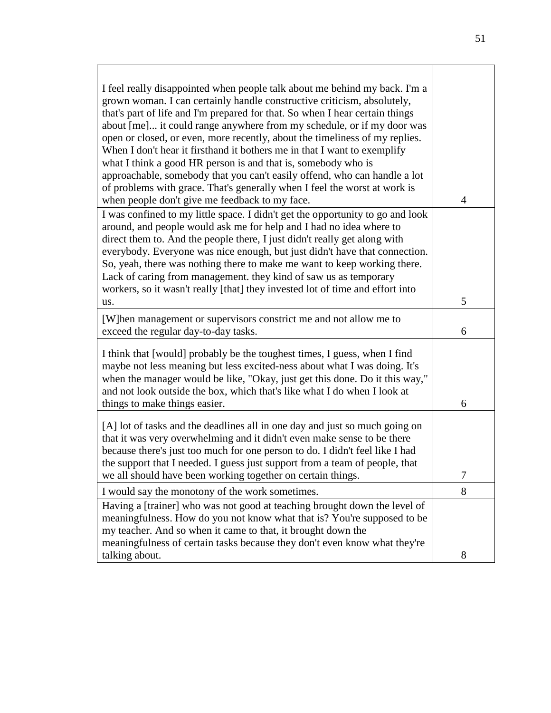| I feel really disappointed when people talk about me behind my back. I'm a<br>grown woman. I can certainly handle constructive criticism, absolutely,<br>that's part of life and I'm prepared for that. So when I hear certain things<br>about [me] it could range anywhere from my schedule, or if my door was<br>open or closed, or even, more recently, about the timeliness of my replies.<br>When I don't hear it firsthand it bothers me in that I want to exemplify<br>what I think a good HR person is and that is, somebody who is<br>approachable, somebody that you can't easily offend, who can handle a lot<br>of problems with grace. That's generally when I feel the worst at work is<br>when people don't give me feedback to my face. | $\overline{4}$ |
|---------------------------------------------------------------------------------------------------------------------------------------------------------------------------------------------------------------------------------------------------------------------------------------------------------------------------------------------------------------------------------------------------------------------------------------------------------------------------------------------------------------------------------------------------------------------------------------------------------------------------------------------------------------------------------------------------------------------------------------------------------|----------------|
| I was confined to my little space. I didn't get the opportunity to go and look<br>around, and people would ask me for help and I had no idea where to<br>direct them to. And the people there, I just didn't really get along with<br>everybody. Everyone was nice enough, but just didn't have that connection.<br>So, yeah, there was nothing there to make me want to keep working there.<br>Lack of caring from management. they kind of saw us as temporary<br>workers, so it wasn't really [that] they invested lot of time and effort into<br>us.                                                                                                                                                                                                | 5              |
| [W]hen management or supervisors constrict me and not allow me to<br>exceed the regular day-to-day tasks.                                                                                                                                                                                                                                                                                                                                                                                                                                                                                                                                                                                                                                               | 6              |
| I think that [would] probably be the toughest times, I guess, when I find<br>maybe not less meaning but less excited-ness about what I was doing. It's<br>when the manager would be like, "Okay, just get this done. Do it this way,"<br>and not look outside the box, which that's like what I do when I look at<br>things to make things easier.                                                                                                                                                                                                                                                                                                                                                                                                      | 6              |
| [A] lot of tasks and the deadlines all in one day and just so much going on<br>that it was very overwhelming and it didn't even make sense to be there<br>because there's just too much for one person to do. I didn't feel like I had<br>the support that I needed. I guess just support from a team of people, that<br>we all should have been working together on certain things.                                                                                                                                                                                                                                                                                                                                                                    | 7              |
| I would say the monotony of the work sometimes.                                                                                                                                                                                                                                                                                                                                                                                                                                                                                                                                                                                                                                                                                                         | 8              |
| Having a [trainer] who was not good at teaching brought down the level of<br>meaningfulness. How do you not know what that is? You're supposed to be<br>my teacher. And so when it came to that, it brought down the<br>meaningfulness of certain tasks because they don't even know what they're                                                                                                                                                                                                                                                                                                                                                                                                                                                       |                |
| talking about.                                                                                                                                                                                                                                                                                                                                                                                                                                                                                                                                                                                                                                                                                                                                          | 8              |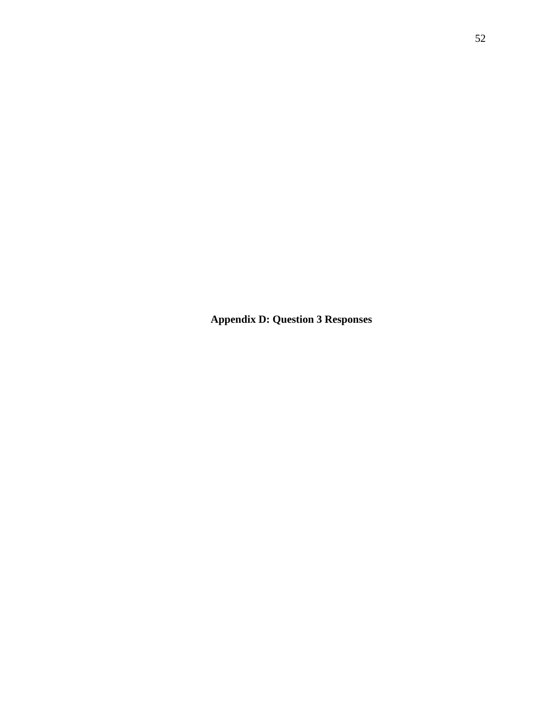**Appendix D: Question 3 Responses**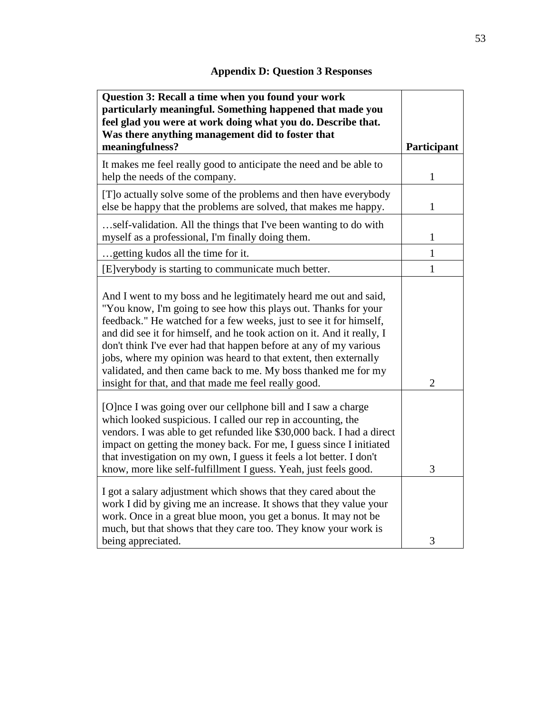<span id="page-61-0"></span>

| Question 3: Recall a time when you found your work<br>particularly meaningful. Something happened that made you<br>feel glad you were at work doing what you do. Describe that.                                                                                                                                                                                                                                                                                                                                                                        |                |
|--------------------------------------------------------------------------------------------------------------------------------------------------------------------------------------------------------------------------------------------------------------------------------------------------------------------------------------------------------------------------------------------------------------------------------------------------------------------------------------------------------------------------------------------------------|----------------|
| Was there anything management did to foster that<br>meaningfulness?                                                                                                                                                                                                                                                                                                                                                                                                                                                                                    | Participant    |
| It makes me feel really good to anticipate the need and be able to<br>help the needs of the company.                                                                                                                                                                                                                                                                                                                                                                                                                                                   | $\mathbf{1}$   |
| [T]o actually solve some of the problems and then have everybody<br>else be happy that the problems are solved, that makes me happy.                                                                                                                                                                                                                                                                                                                                                                                                                   | 1              |
| self-validation. All the things that I've been wanting to do with<br>myself as a professional, I'm finally doing them.                                                                                                                                                                                                                                                                                                                                                                                                                                 | 1              |
| getting kudos all the time for it.                                                                                                                                                                                                                                                                                                                                                                                                                                                                                                                     | $\mathbf{1}$   |
| [E]verybody is starting to communicate much better.                                                                                                                                                                                                                                                                                                                                                                                                                                                                                                    | $\mathbf{1}$   |
| And I went to my boss and he legitimately heard me out and said,<br>"You know, I'm going to see how this plays out. Thanks for your<br>feedback." He watched for a few weeks, just to see it for himself,<br>and did see it for himself, and he took action on it. And it really, I<br>don't think I've ever had that happen before at any of my various<br>jobs, where my opinion was heard to that extent, then externally<br>validated, and then came back to me. My boss thanked me for my<br>insight for that, and that made me feel really good. | $\overline{2}$ |
| [O]nce I was going over our cellphone bill and I saw a charge<br>which looked suspicious. I called our rep in accounting, the<br>vendors. I was able to get refunded like \$30,000 back. I had a direct<br>impact on getting the money back. For me, I guess since I initiated<br>that investigation on my own, I guess it feels a lot better. I don't<br>know, more like self-fulfillment I guess. Yeah, just feels good.                                                                                                                             | 3              |
| I got a salary adjustment which shows that they cared about the<br>work I did by giving me an increase. It shows that they value your<br>work. Once in a great blue moon, you get a bonus. It may not be<br>much, but that shows that they care too. They know your work is<br>being appreciated.                                                                                                                                                                                                                                                      | 3              |

# **Appendix D: Question 3 Responses**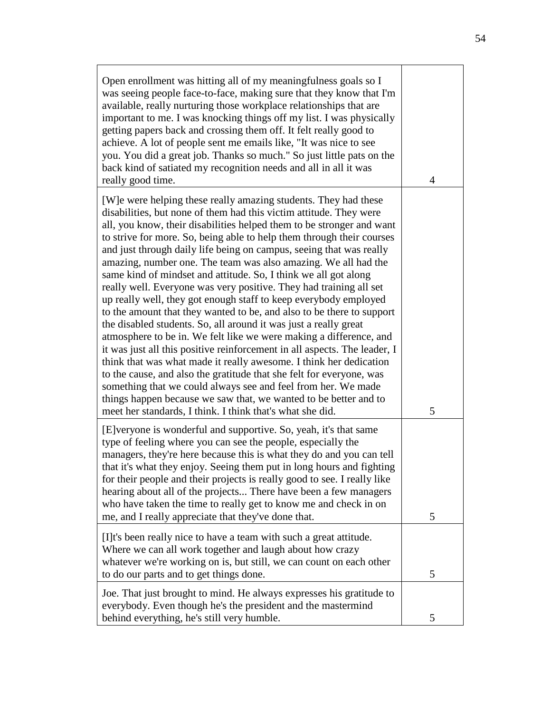| Open enrollment was hitting all of my meaningfulness goals so I<br>was seeing people face-to-face, making sure that they know that I'm<br>available, really nurturing those workplace relationships that are<br>important to me. I was knocking things off my list. I was physically<br>getting papers back and crossing them off. It felt really good to<br>achieve. A lot of people sent me emails like, "It was nice to see<br>you. You did a great job. Thanks so much." So just little pats on the<br>back kind of satiated my recognition needs and all in all it was<br>really good time.                                                                                                                                                                                                                                                                                                                                                                                                                                                                                                                                                                                                                                                                                               | 4 |
|------------------------------------------------------------------------------------------------------------------------------------------------------------------------------------------------------------------------------------------------------------------------------------------------------------------------------------------------------------------------------------------------------------------------------------------------------------------------------------------------------------------------------------------------------------------------------------------------------------------------------------------------------------------------------------------------------------------------------------------------------------------------------------------------------------------------------------------------------------------------------------------------------------------------------------------------------------------------------------------------------------------------------------------------------------------------------------------------------------------------------------------------------------------------------------------------------------------------------------------------------------------------------------------------|---|
| [W] e were helping these really amazing students. They had these<br>disabilities, but none of them had this victim attitude. They were<br>all, you know, their disabilities helped them to be stronger and want<br>to strive for more. So, being able to help them through their courses<br>and just through daily life being on campus, seeing that was really<br>amazing, number one. The team was also amazing. We all had the<br>same kind of mindset and attitude. So, I think we all got along<br>really well. Everyone was very positive. They had training all set<br>up really well, they got enough staff to keep everybody employed<br>to the amount that they wanted to be, and also to be there to support<br>the disabled students. So, all around it was just a really great<br>atmosphere to be in. We felt like we were making a difference, and<br>it was just all this positive reinforcement in all aspects. The leader, I<br>think that was what made it really awesome. I think her dedication<br>to the cause, and also the gratitude that she felt for everyone, was<br>something that we could always see and feel from her. We made<br>things happen because we saw that, we wanted to be better and to<br>meet her standards, I think. I think that's what she did. | 5 |
| [E] veryone is wonderful and supportive. So, yeah, it's that same<br>type of feeling where you can see the people, especially the<br>managers, they're here because this is what they do and you can tell<br>that it's what they enjoy. Seeing them put in long hours and fighting<br>for their people and their projects is really good to see. I really like<br>hearing about all of the projects There have been a few managers<br>who have taken the time to really get to know me and check in on<br>me, and I really appreciate that they've done that.                                                                                                                                                                                                                                                                                                                                                                                                                                                                                                                                                                                                                                                                                                                                  | 5 |
| [I]t's been really nice to have a team with such a great attitude.<br>Where we can all work together and laugh about how crazy<br>whatever we're working on is, but still, we can count on each other<br>to do our parts and to get things done.                                                                                                                                                                                                                                                                                                                                                                                                                                                                                                                                                                                                                                                                                                                                                                                                                                                                                                                                                                                                                                               | 5 |
| Joe. That just brought to mind. He always expresses his gratitude to<br>everybody. Even though he's the president and the mastermind<br>behind everything, he's still very humble.                                                                                                                                                                                                                                                                                                                                                                                                                                                                                                                                                                                                                                                                                                                                                                                                                                                                                                                                                                                                                                                                                                             | 5 |